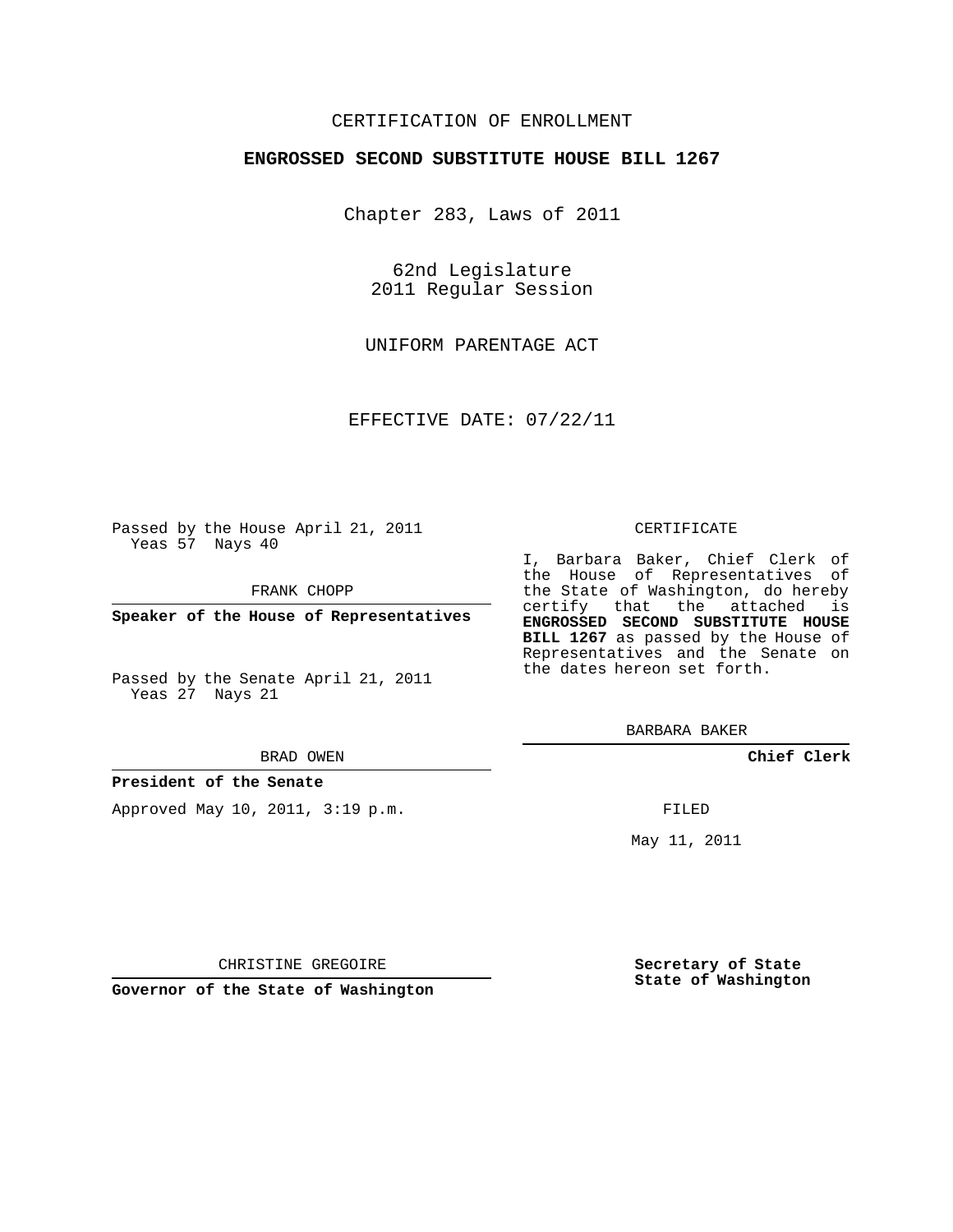## CERTIFICATION OF ENROLLMENT

### **ENGROSSED SECOND SUBSTITUTE HOUSE BILL 1267**

Chapter 283, Laws of 2011

62nd Legislature 2011 Regular Session

UNIFORM PARENTAGE ACT

EFFECTIVE DATE: 07/22/11

Passed by the House April 21, 2011 Yeas 57 Nays 40

FRANK CHOPP

**Speaker of the House of Representatives**

Passed by the Senate April 21, 2011 Yeas 27 Nays 21

#### BRAD OWEN

### **President of the Senate**

Approved May 10, 2011, 3:19 p.m.

#### CERTIFICATE

I, Barbara Baker, Chief Clerk of the House of Representatives of the State of Washington, do hereby certify that the attached is **ENGROSSED SECOND SUBSTITUTE HOUSE BILL 1267** as passed by the House of Representatives and the Senate on the dates hereon set forth.

BARBARA BAKER

**Chief Clerk**

FILED

May 11, 2011

**Secretary of State State of Washington**

CHRISTINE GREGOIRE

**Governor of the State of Washington**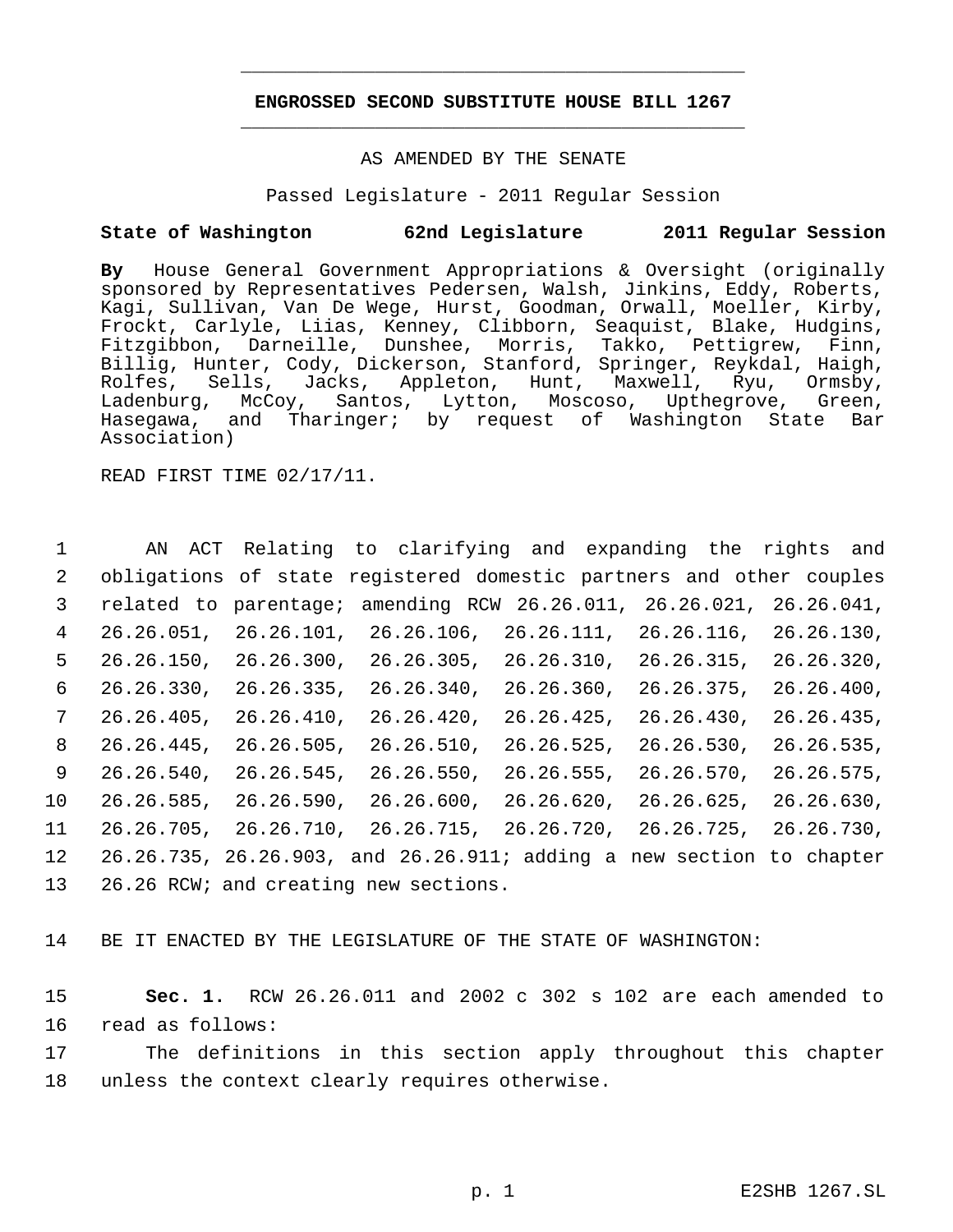# **ENGROSSED SECOND SUBSTITUTE HOUSE BILL 1267** \_\_\_\_\_\_\_\_\_\_\_\_\_\_\_\_\_\_\_\_\_\_\_\_\_\_\_\_\_\_\_\_\_\_\_\_\_\_\_\_\_\_\_\_\_

\_\_\_\_\_\_\_\_\_\_\_\_\_\_\_\_\_\_\_\_\_\_\_\_\_\_\_\_\_\_\_\_\_\_\_\_\_\_\_\_\_\_\_\_\_

### AS AMENDED BY THE SENATE

Passed Legislature - 2011 Regular Session

# **State of Washington 62nd Legislature 2011 Regular Session**

**By** House General Government Appropriations & Oversight (originally sponsored by Representatives Pedersen, Walsh, Jinkins, Eddy, Roberts, Kagi, Sullivan, Van De Wege, Hurst, Goodman, Orwall, Moeller, Kirby, Frockt, Carlyle, Liias, Kenney, Clibborn, Seaquist, Blake, Hudgins, Fitzgibbon, Darneille, Dunshee, Morris, Takko, Pettigrew, Finn, Billig, Hunter, Cody, Dickerson, Stanford, Springer, Reykdal, Haigh,<br>Rolfes, Sells, Jacks, Appleton, Hunt, Maxwell, Ryu, Ormsby, ls, Jacks, Appleton, Hunt, Maxwell, Ryu,<br>McCoy, Santos, Lytton, Moscoso, Upthegrove, Ladenburg, McCoy, Santos, Lytton, Moscoso, Upthegrove, Green, Hasegawa, and Tharinger; by request of Washington State Bar Association)

READ FIRST TIME 02/17/11.

 AN ACT Relating to clarifying and expanding the rights and obligations of state registered domestic partners and other couples related to parentage; amending RCW 26.26.011, 26.26.021, 26.26.041, 26.26.051, 26.26.101, 26.26.106, 26.26.111, 26.26.116, 26.26.130, 26.26.150, 26.26.300, 26.26.305, 26.26.310, 26.26.315, 26.26.320, 26.26.330, 26.26.335, 26.26.340, 26.26.360, 26.26.375, 26.26.400, 26.26.405, 26.26.410, 26.26.420, 26.26.425, 26.26.430, 26.26.435, 26.26.445, 26.26.505, 26.26.510, 26.26.525, 26.26.530, 26.26.535, 26.26.540, 26.26.545, 26.26.550, 26.26.555, 26.26.570, 26.26.575, 26.26.585, 26.26.590, 26.26.600, 26.26.620, 26.26.625, 26.26.630, 26.26.705, 26.26.710, 26.26.715, 26.26.720, 26.26.725, 26.26.730, 26.26.735, 26.26.903, and 26.26.911; adding a new section to chapter 26.26 RCW; and creating new sections.

14 BE IT ENACTED BY THE LEGISLATURE OF THE STATE OF WASHINGTON:

15 **Sec. 1.** RCW 26.26.011 and 2002 c 302 s 102 are each amended to 16 read as follows:

17 The definitions in this section apply throughout this chapter 18 unless the context clearly requires otherwise.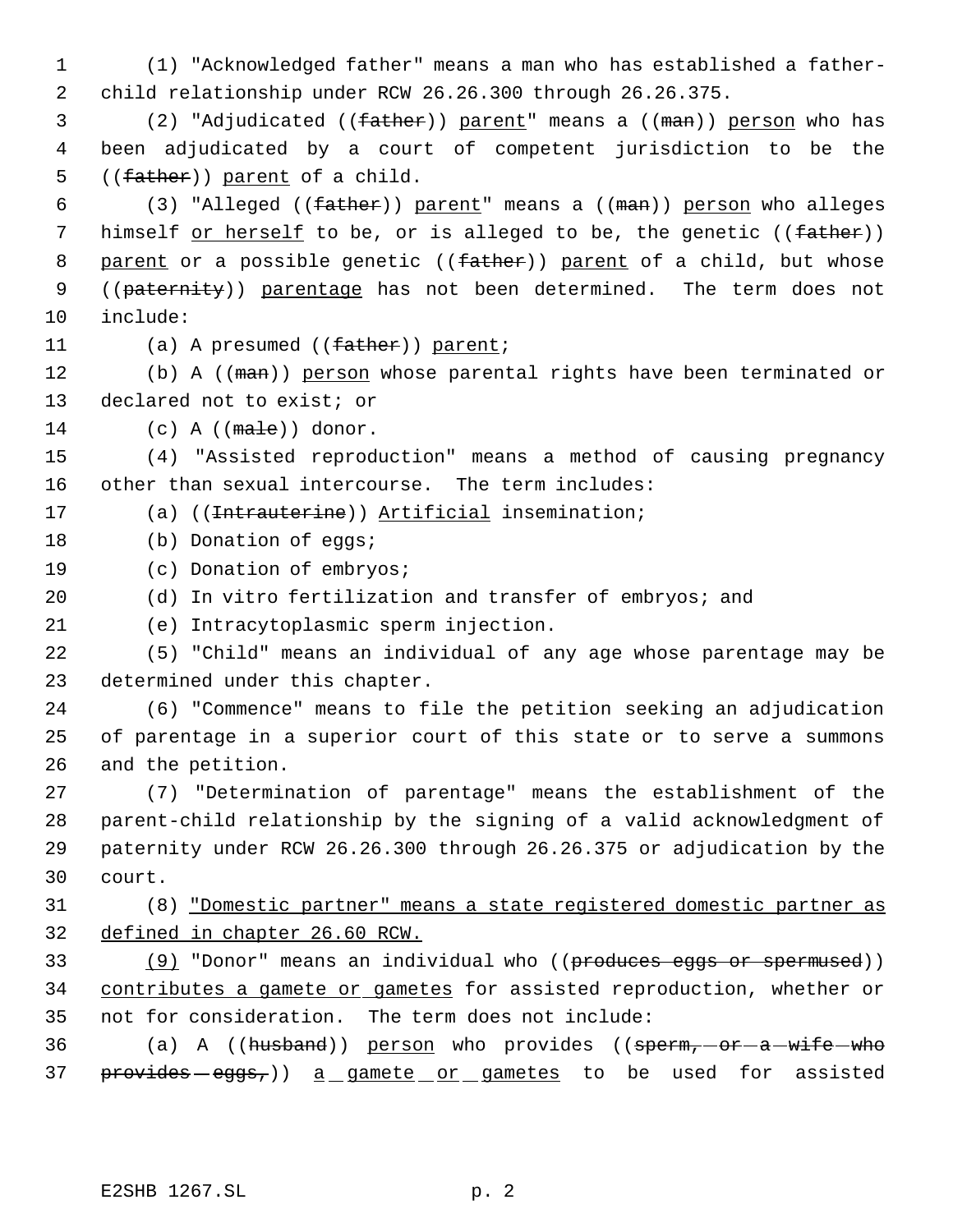(1) "Acknowledged father" means a man who has established a father- child relationship under RCW 26.26.300 through 26.26.375.

3 (2) "Adjudicated ((father)) parent" means a ((man)) person who has been adjudicated by a court of competent jurisdiction to be the 5 ((father)) parent of a child.

6 (3) "Alleged ((father)) parent" means a ((man)) person who alleges 7 himself or herself to be, or is alleged to be, the genetic ((father)) 8 parent or a possible genetic ((father)) parent of a child, but whose 9 ((paternity)) parentage has not been determined. The term does not include:

11 (a) A presumed ((father)) parent;

12 (b) A ((man)) person whose parental rights have been terminated or declared not to exist; or

(c) A (( $male$ )) donor.

 (4) "Assisted reproduction" means a method of causing pregnancy other than sexual intercourse. The term includes:

17 (a) ((<del>Intrauterine</del>)) Artificial insemination;

- 18 (b) Donation of eqgs;
- (c) Donation of embryos;
- (d) In vitro fertilization and transfer of embryos; and
- (e) Intracytoplasmic sperm injection.

 (5) "Child" means an individual of any age whose parentage may be determined under this chapter.

 (6) "Commence" means to file the petition seeking an adjudication of parentage in a superior court of this state or to serve a summons and the petition.

 (7) "Determination of parentage" means the establishment of the parent-child relationship by the signing of a valid acknowledgment of paternity under RCW 26.26.300 through 26.26.375 or adjudication by the court.

 (8) "Domestic partner" means a state registered domestic partner as defined in chapter 26.60 RCW.

33 (9) "Donor" means an individual who ((produces eggs or spermused)) 34 contributes a gamete or gametes for assisted reproduction, whether or not for consideration. The term does not include:

36 (a) A ((husband)) person who provides ((sperm, -or - a - wife - who 37 provides eggs,)) a gamete or gametes to be used for assisted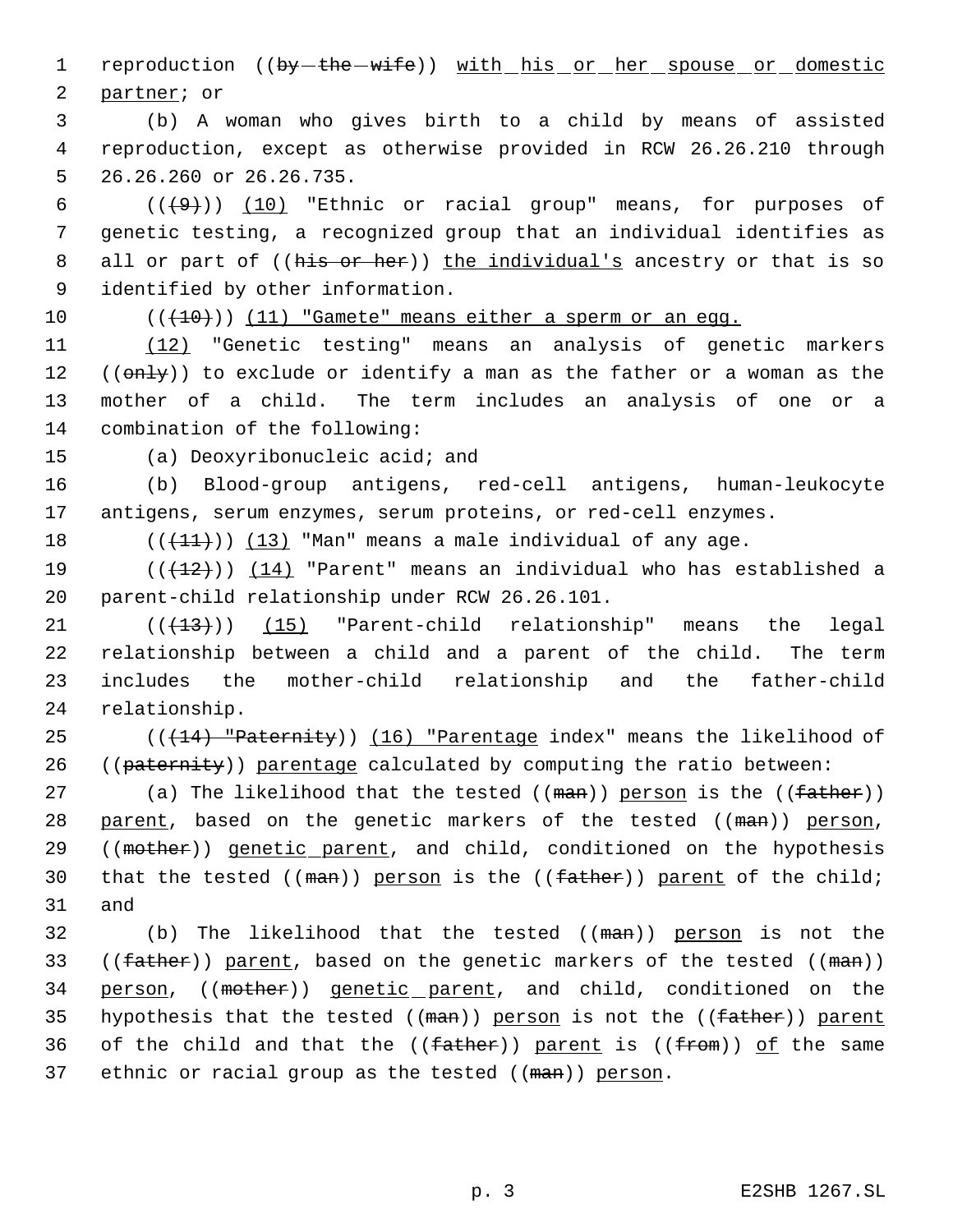1 reproduction ((by - the - wife)) with his or her spouse or domestic 2 partner; or

 3 (b) A woman who gives birth to a child by means of assisted 4 reproduction, except as otherwise provided in RCW 26.26.210 through 5 26.26.260 or 26.26.735.

 $((+9))$   $(10)$  "Ethnic or racial group" means, for purposes of genetic testing, a recognized group that an individual identifies as 8 all or part of ((his or her)) the individual's ancestry or that is so identified by other information.

10  $((+10))$  (11) "Gamete" means either a sperm or an eqq.

 (12) "Genetic testing" means an analysis of genetic markers  $((onLy))$  to exclude or identify a man as the father or a woman as the mother of a child. The term includes an analysis of one or a combination of the following:

15 (a) Deoxyribonucleic acid; and

16 (b) Blood-group antigens, red-cell antigens, human-leukocyte 17 antigens, serum enzymes, serum proteins, or red-cell enzymes.

18  $((+11))$  (13) "Man" means a male individual of any age.

19 ( $(\frac{12}{12})$ ) (14) "Parent" means an individual who has established a 20 parent-child relationship under RCW 26.26.101.

 $(1)$  ( $(13)$ ) (15) "Parent-child relationship" means the legal relationship between a child and a parent of the child. The term includes the mother-child relationship and the father-child relationship.

25  $((14)$  "Paternity)) (16) "Parentage index" means the likelihood of 26 ((paternity)) parentage calculated by computing the ratio between:

27 (a) The likelihood that the tested ((man)) person is the ((father)) 28 parent, based on the genetic markers of the tested ((man)) person, 29 ((mother)) genetic parent, and child, conditioned on the hypothesis 30 that the tested  $((\text{man}))$  person is the  $((\text{father}))$  parent of the child; 31 and

32 (b) The likelihood that the tested ((man)) person is not the 33 ((father)) parent, based on the genetic markers of the tested ((man)) 34 person, ((mother)) genetic parent, and child, conditioned on the 35 hypothesis that the tested ((man)) person is not the ((father)) parent 36 of the child and that the  $((f<sub>atther</sub>))$  parent is  $((f<sub>from</sub>))$  of the same 37 ethnic or racial group as the tested ((man)) person.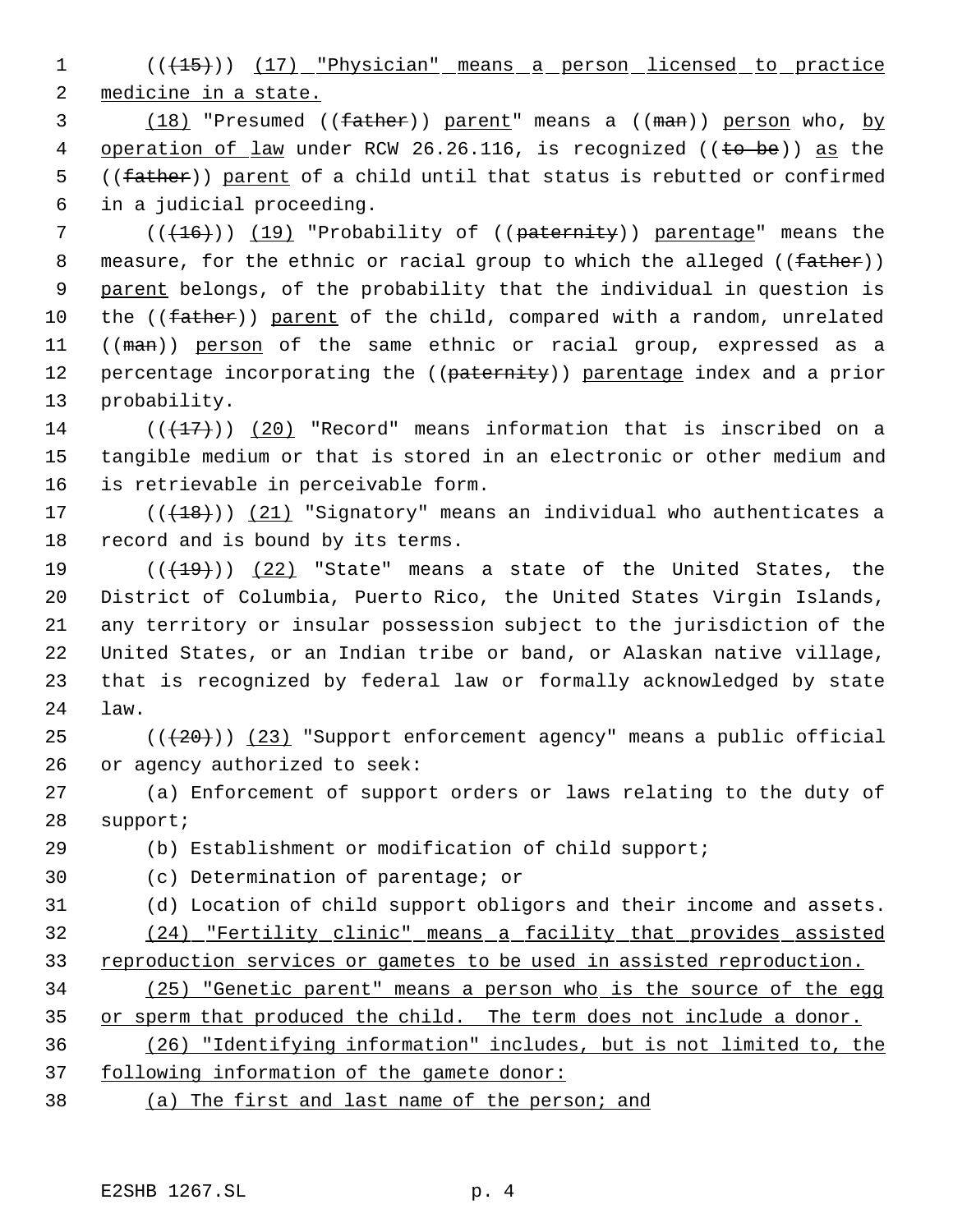1 (( $\left(15\right)$ ) (17) "Physician" means a person licensed to practice medicine in a state.

3 (18) "Presumed ((father)) parent" means a ((man)) person who, by 4 operation of law under RCW 26.26.116, is recognized ((to be)) as the 5 ((father)) parent of a child until that status is rebutted or confirmed in a judicial proceeding.

 $((+16))$  (19) "Probability of (( $\mu$ aternity)) parentage" means the 8 measure, for the ethnic or racial group to which the alleged ((father)) 9 parent belongs, of the probability that the individual in question is 10 the ((father)) parent of the child, compared with a random, unrelated 11 ((man)) person of the same ethnic or racial group, expressed as a 12 percentage incorporating the ((paternity)) parentage index and a prior probability.

14 ( $(\overline{+17})$ ) (20) "Record" means information that is inscribed on a tangible medium or that is stored in an electronic or other medium and is retrievable in perceivable form.

17 (((18))) (21) "Signatory" means an individual who authenticates a record and is bound by its terms.

 $((+19))$  (22) "State" means a state of the United States, the District of Columbia, Puerto Rico, the United States Virgin Islands, any territory or insular possession subject to the jurisdiction of the United States, or an Indian tribe or band, or Alaskan native village, that is recognized by federal law or formally acknowledged by state law.

25  $((+20))$   $(23)$  "Support enforcement agency" means a public official or agency authorized to seek:

 (a) Enforcement of support orders or laws relating to the duty of support;

 (b) Establishment or modification of child support; (c) Determination of parentage; or (d) Location of child support obligors and their income and assets. (24) "Fertility clinic" means a facility that provides assisted 33 reproduction services or gametes to be used in assisted reproduction.

 (25) "Genetic parent" means a person who is the source of the egg 35 or sperm that produced the child. The term does not include a donor. (26) "Identifying information" includes, but is not limited to, the

following information of the gamete donor:

(a) The first and last name of the person; and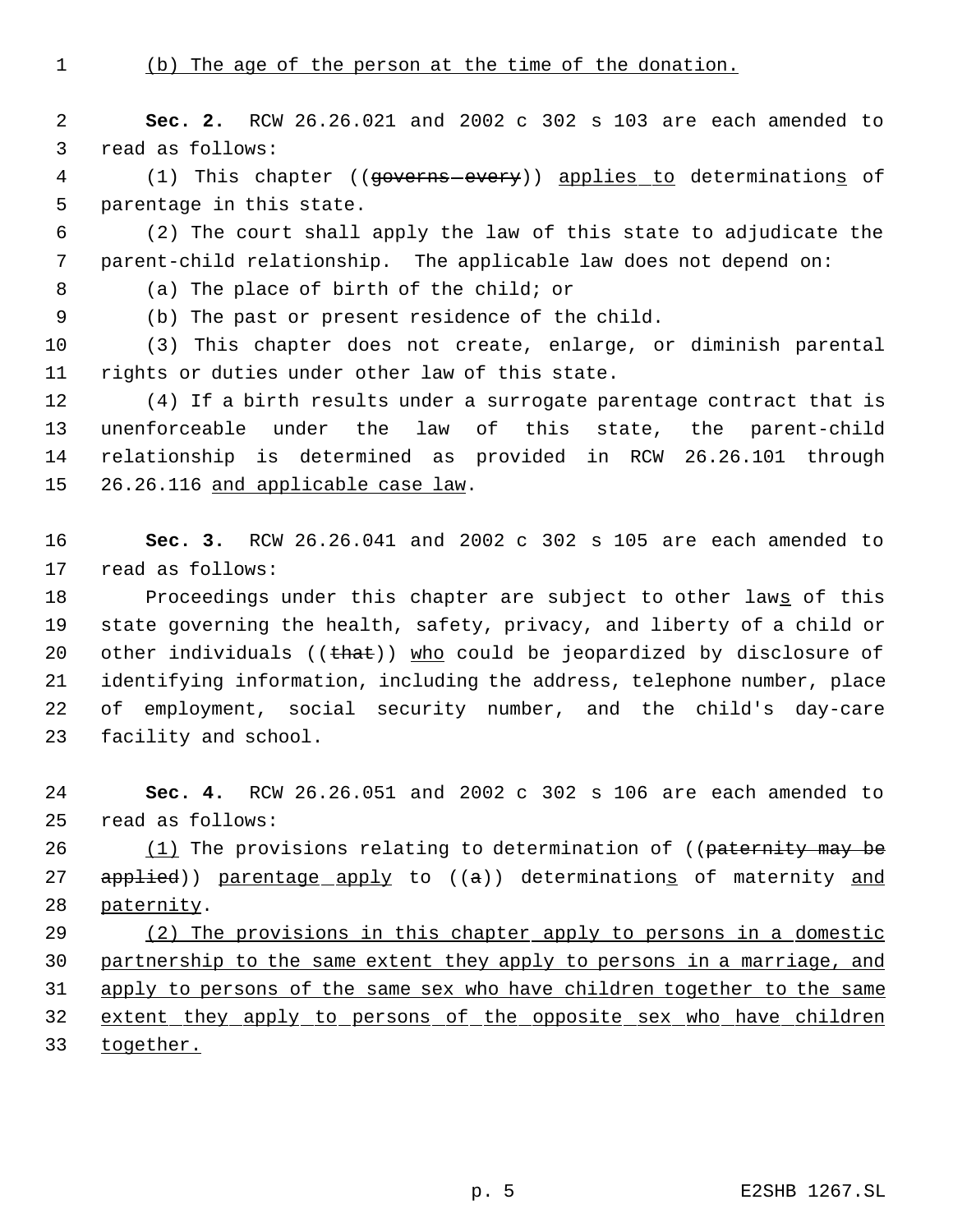(b) The age of the person at the time of the donation.

 **Sec. 2.** RCW 26.26.021 and 2002 c 302 s 103 are each amended to read as follows:

4 (1) This chapter ((governs every)) applies to determinations of parentage in this state.

 (2) The court shall apply the law of this state to adjudicate the parent-child relationship. The applicable law does not depend on:

(a) The place of birth of the child; or

(b) The past or present residence of the child.

 (3) This chapter does not create, enlarge, or diminish parental rights or duties under other law of this state.

 (4) If a birth results under a surrogate parentage contract that is unenforceable under the law of this state, the parent-child relationship is determined as provided in RCW 26.26.101 through 15 26.26.116 and applicable case law.

 **Sec. 3.** RCW 26.26.041 and 2002 c 302 s 105 are each amended to read as follows:

18 Proceedings under this chapter are subject to other laws of this state governing the health, safety, privacy, and liberty of a child or 20 other individuals (( $that)$ ) who could be jeopardized by disclosure of identifying information, including the address, telephone number, place of employment, social security number, and the child's day-care facility and school.

 **Sec. 4.** RCW 26.26.051 and 2002 c 302 s 106 are each amended to read as follows:

26 (1) The provisions relating to determination of ((paternity may be 27 applied)) parentage apply to ((a)) determinations of maternity and paternity.

29 (2) The provisions in this chapter apply to persons in a domestic partnership to the same extent they apply to persons in a marriage, and 31 apply to persons of the same sex who have children together to the same 32 extent they apply to persons of the opposite sex who have children together.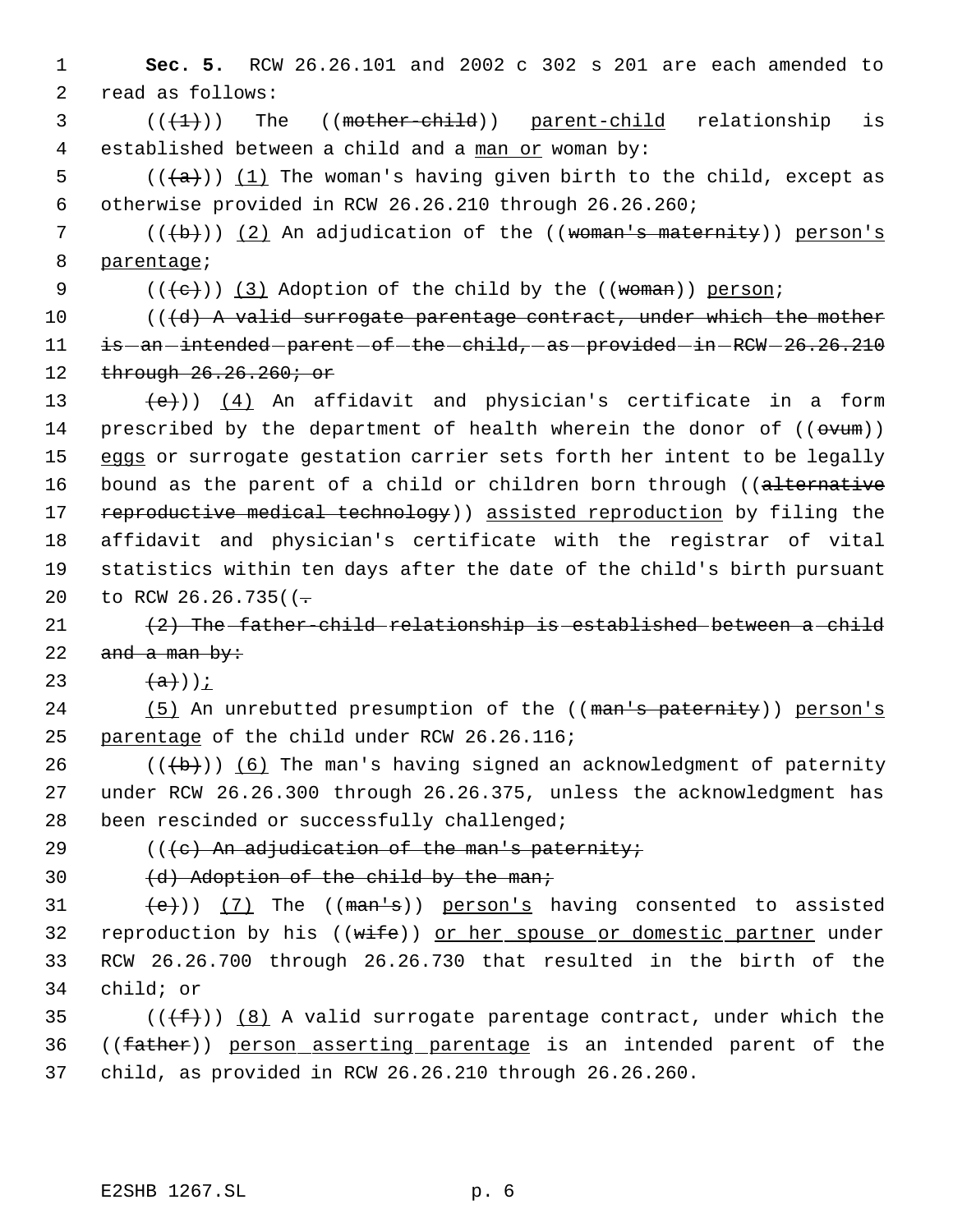1 **Sec. 5.** RCW 26.26.101 and 2002 c 302 s 201 are each amended to 2 read as follows:

 $3$  ( $(\overbrace{+1})$ ) The ((mother-child)) parent-child relationship is 4 established between a child and a man or woman by:

5  $((a))$   $(1)$  The woman's having given birth to the child, except as 6 otherwise provided in RCW 26.26.210 through 26.26.260;

7 ( $(\theta)$ )) (2) An adjudication of the ((woman's maternity)) person's 8 parentage;

9  $((+e))$   $(3)$  Adoption of the child by the ((woman)) person;

10  $((d)$  A valid surrogate parentage contract, under which the mother 11 is -an -intended -parent -of -the -child, -as -provided -in -RCW - 26.26.210 12 through 26.26.260; or

13  $(e)$ ) (4) An affidavit and physician's certificate in a form 14 prescribed by the department of health wherein the donor of (( $\sigma v$ um)) 15 eggs or surrogate gestation carrier sets forth her intent to be legally 16 bound as the parent of a child or children born through ((alternative 17 reproductive medical technology) assisted reproduction by filing the 18 affidavit and physician's certificate with the registrar of vital 19 statistics within ten days after the date of the child's birth pursuant 20 to RCW 26.26.735( $(-$ 

21  $(2)$  The father-child relationship is established between a child 22 and a man by:

23  $(a)$ ));

24 (5) An unrebutted presumption of the ((man's paternity)) person's 25 parentage of the child under RCW 26.26.116;

26  $((+b))$  (6) The man's having signed an acknowledgment of paternity 27 under RCW 26.26.300 through 26.26.375, unless the acknowledgment has 28 been rescinded or successfully challenged;

29  $((e)$  An adjudication of the man's paternity;

30  $(d)$  Adoption of the child by the man;

 $(e)$ ) (7) The ((man's)) person's having consented to assisted 32 reproduction by his ((wife)) or her spouse or domestic partner under RCW 26.26.700 through 26.26.730 that resulted in the birth of the child; or

35 ( $(\overline{f})$ ) (8) A valid surrogate parentage contract, under which the 36 ((father)) person asserting parentage is an intended parent of the 37 child, as provided in RCW 26.26.210 through 26.26.260.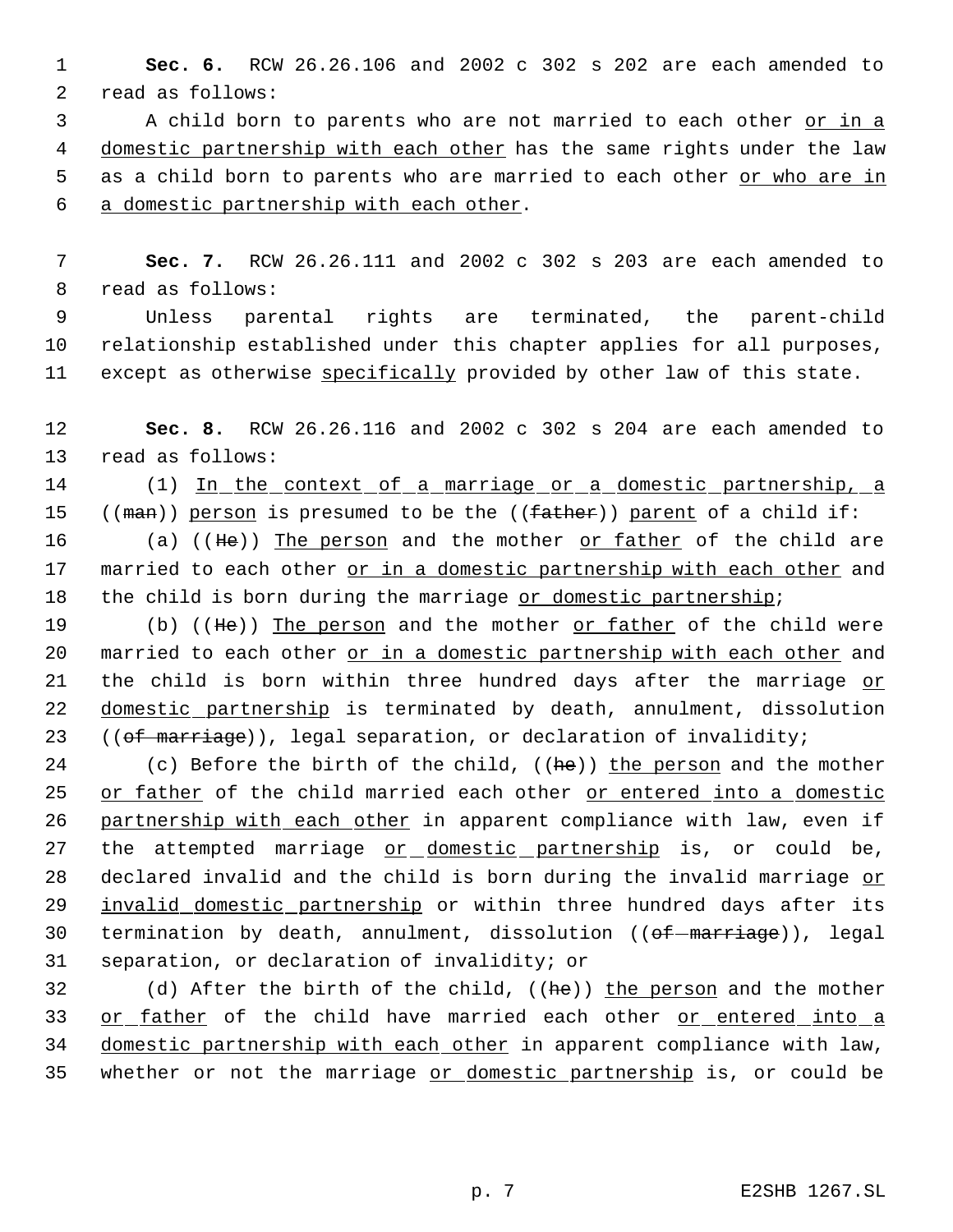1 **Sec. 6.** RCW 26.26.106 and 2002 c 302 s 202 are each amended to 2 read as follows:

 A child born to parents who are not married to each other or in a domestic partnership with each other has the same rights under the law 5 as a child born to parents who are married to each other or who are in a domestic partnership with each other.

 7 **Sec. 7.** RCW 26.26.111 and 2002 c 302 s 203 are each amended to 8 read as follows:

 9 Unless parental rights are terminated, the parent-child 10 relationship established under this chapter applies for all purposes, 11 except as otherwise specifically provided by other law of this state.

12 **Sec. 8.** RCW 26.26.116 and 2002 c 302 s 204 are each amended to 13 read as follows:

14 (1) In the context of a marriage or a domestic partnership, a

15 ((man)) person is presumed to be the (( $father$ )) parent of a child if:

16 (a) ((He)) The person and the mother or father of the child are 17 married to each other or in a domestic partnership with each other and 18 the child is born during the marriage or domestic partnership;

19 (b) ((He)) The person and the mother or father of the child were 20 married to each other or in a domestic partnership with each other and 21 the child is born within three hundred days after the marriage or 22 domestic partnership is terminated by death, annulment, dissolution 23 ((of marriage)), legal separation, or declaration of invalidity;

24 (c) Before the birth of the child, ((he)) the person and the mother 25 or father of the child married each other or entered into a domestic 26 partnership with each other in apparent compliance with law, even if 27 the attempted marriage or domestic partnership is, or could be, 28 declared invalid and the child is born during the invalid marriage or 29 invalid domestic partnership or within three hundred days after its 30 termination by death, annulment, dissolution ((of-marriage)), legal 31 separation, or declaration of invalidity; or

32 (d) After the birth of the child, ((he)) the person and the mother 33 or father of the child have married each other or entered into a 34 domestic partnership with each other in apparent compliance with law, 35 whether or not the marriage or domestic partnership is, or could be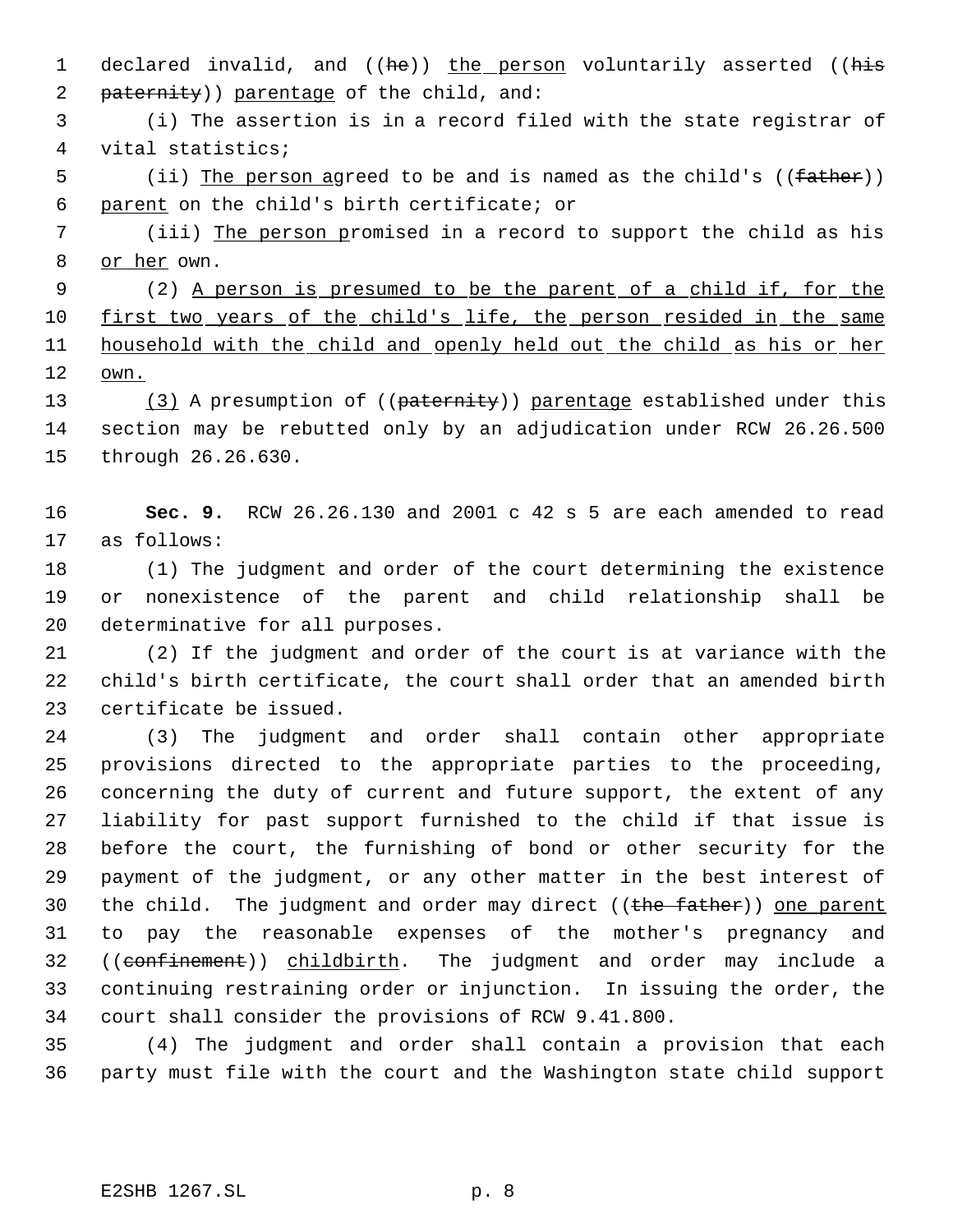1 declared invalid, and ((he)) the person voluntarily asserted ((his 2 paternity)) parentage of the child, and:

 (i) The assertion is in a record filed with the state registrar of vital statistics;

5 (ii) The person agreed to be and is named as the child's ((father)) parent on the child's birth certificate; or

 (iii) The person promised in a record to support the child as his 8 or her own.

 (2) A person is presumed to be the parent of a child if, for the 10 first two years of the child's life, the person resided in the same household with the child and openly held out the child as his or her own.

13 (3) A presumption of ((paternity)) parentage established under this section may be rebutted only by an adjudication under RCW 26.26.500 through 26.26.630.

 **Sec. 9.** RCW 26.26.130 and 2001 c 42 s 5 are each amended to read as follows:

 (1) The judgment and order of the court determining the existence or nonexistence of the parent and child relationship shall be determinative for all purposes.

 (2) If the judgment and order of the court is at variance with the child's birth certificate, the court shall order that an amended birth certificate be issued.

 (3) The judgment and order shall contain other appropriate provisions directed to the appropriate parties to the proceeding, concerning the duty of current and future support, the extent of any liability for past support furnished to the child if that issue is before the court, the furnishing of bond or other security for the payment of the judgment, or any other matter in the best interest of 30 the child. The judgment and order may direct ((the father)) one parent to pay the reasonable expenses of the mother's pregnancy and 32 ((confinement)) childbirth. The judgment and order may include a continuing restraining order or injunction. In issuing the order, the court shall consider the provisions of RCW 9.41.800.

 (4) The judgment and order shall contain a provision that each party must file with the court and the Washington state child support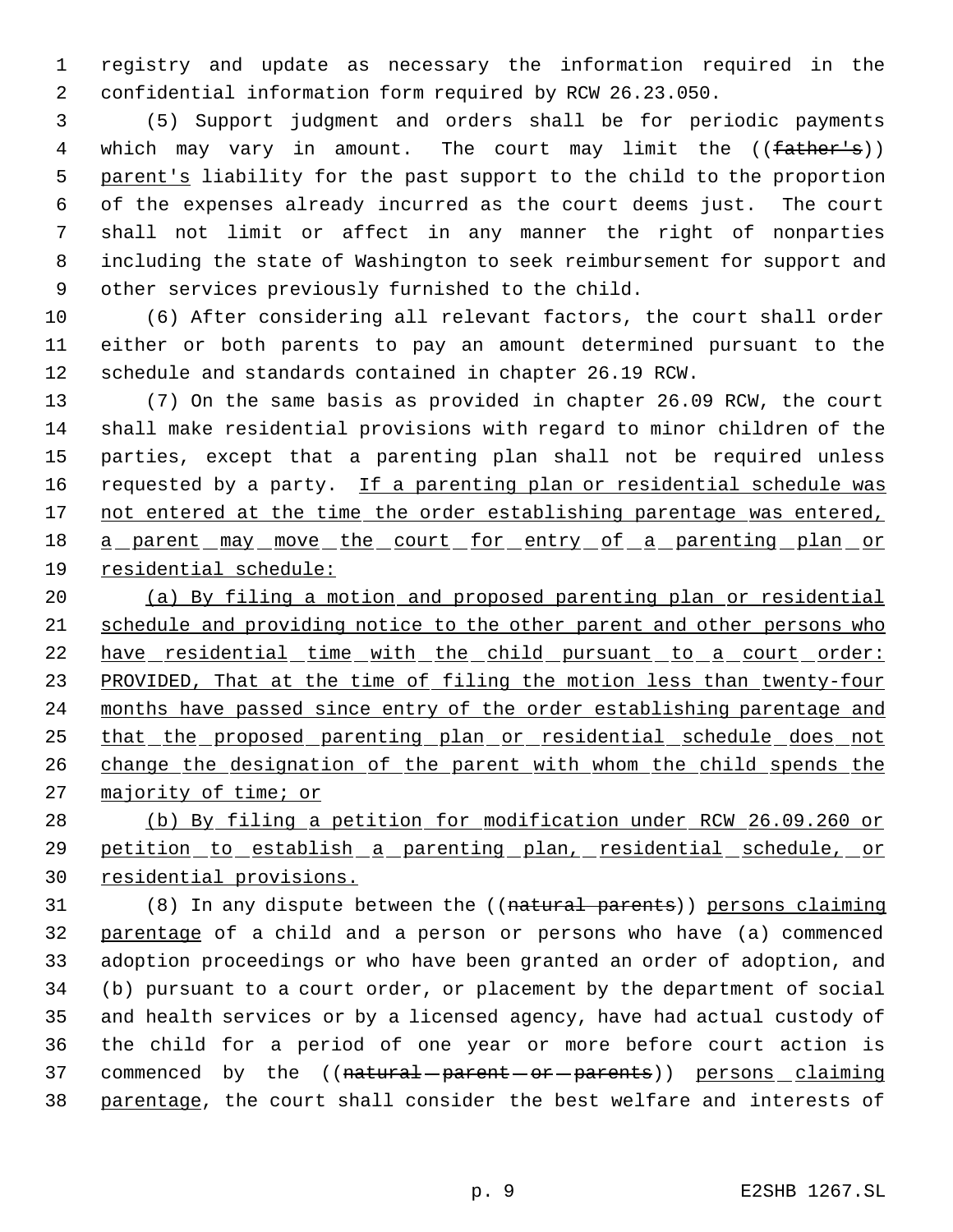registry and update as necessary the information required in the confidential information form required by RCW 26.23.050.

 (5) Support judgment and orders shall be for periodic payments 4 which may vary in amount. The court may limit the ((father's)) parent's liability for the past support to the child to the proportion of the expenses already incurred as the court deems just. The court shall not limit or affect in any manner the right of nonparties including the state of Washington to seek reimbursement for support and other services previously furnished to the child.

 (6) After considering all relevant factors, the court shall order either or both parents to pay an amount determined pursuant to the schedule and standards contained in chapter 26.19 RCW.

 (7) On the same basis as provided in chapter 26.09 RCW, the court shall make residential provisions with regard to minor children of the parties, except that a parenting plan shall not be required unless 16 requested by a party. If a parenting plan or residential schedule was 17 not entered at the time the order establishing parentage was entered, 18 a parent may move the court for entry of a parenting plan or residential schedule:

 (a) By filing a motion and proposed parenting plan or residential schedule and providing notice to the other parent and other persons who 22 have residential time with the child pursuant to a court order: 23 PROVIDED, That at the time of filing the motion less than twenty-four months have passed since entry of the order establishing parentage and 25 that the proposed parenting plan or residential schedule does not 26 change the designation of the parent with whom the child spends the 27 majority of time; or

 (b) By filing a petition for modification under RCW 26.09.260 or 29 petition to establish a parenting plan, residential schedule, or residential provisions.

31 (8) In any dispute between the ((natural parents)) persons claiming parentage of a child and a person or persons who have (a) commenced adoption proceedings or who have been granted an order of adoption, and (b) pursuant to a court order, or placement by the department of social and health services or by a licensed agency, have had actual custody of the child for a period of one year or more before court action is 37 commenced by the ((natural parent or parents)) persons claiming 38 parentage, the court shall consider the best welfare and interests of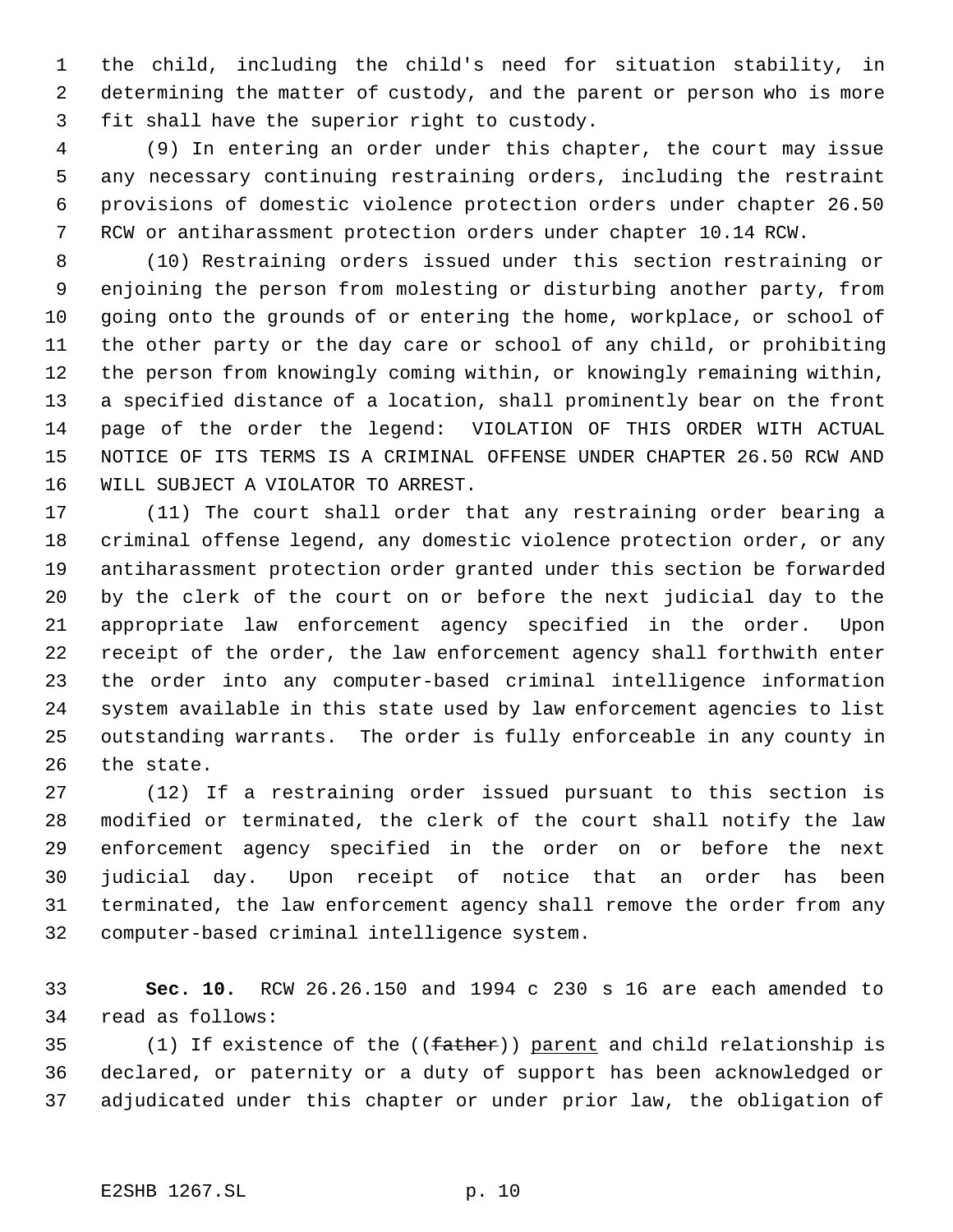the child, including the child's need for situation stability, in determining the matter of custody, and the parent or person who is more fit shall have the superior right to custody.

 (9) In entering an order under this chapter, the court may issue any necessary continuing restraining orders, including the restraint provisions of domestic violence protection orders under chapter 26.50 RCW or antiharassment protection orders under chapter 10.14 RCW.

 (10) Restraining orders issued under this section restraining or enjoining the person from molesting or disturbing another party, from going onto the grounds of or entering the home, workplace, or school of the other party or the day care or school of any child, or prohibiting the person from knowingly coming within, or knowingly remaining within, a specified distance of a location, shall prominently bear on the front page of the order the legend: VIOLATION OF THIS ORDER WITH ACTUAL NOTICE OF ITS TERMS IS A CRIMINAL OFFENSE UNDER CHAPTER 26.50 RCW AND WILL SUBJECT A VIOLATOR TO ARREST.

 (11) The court shall order that any restraining order bearing a criminal offense legend, any domestic violence protection order, or any antiharassment protection order granted under this section be forwarded by the clerk of the court on or before the next judicial day to the appropriate law enforcement agency specified in the order. Upon receipt of the order, the law enforcement agency shall forthwith enter the order into any computer-based criminal intelligence information system available in this state used by law enforcement agencies to list outstanding warrants. The order is fully enforceable in any county in the state.

 (12) If a restraining order issued pursuant to this section is modified or terminated, the clerk of the court shall notify the law enforcement agency specified in the order on or before the next judicial day. Upon receipt of notice that an order has been terminated, the law enforcement agency shall remove the order from any computer-based criminal intelligence system.

 **Sec. 10.** RCW 26.26.150 and 1994 c 230 s 16 are each amended to read as follows:

 (1) If existence of the ((father)) parent and child relationship is declared, or paternity or a duty of support has been acknowledged or adjudicated under this chapter or under prior law, the obligation of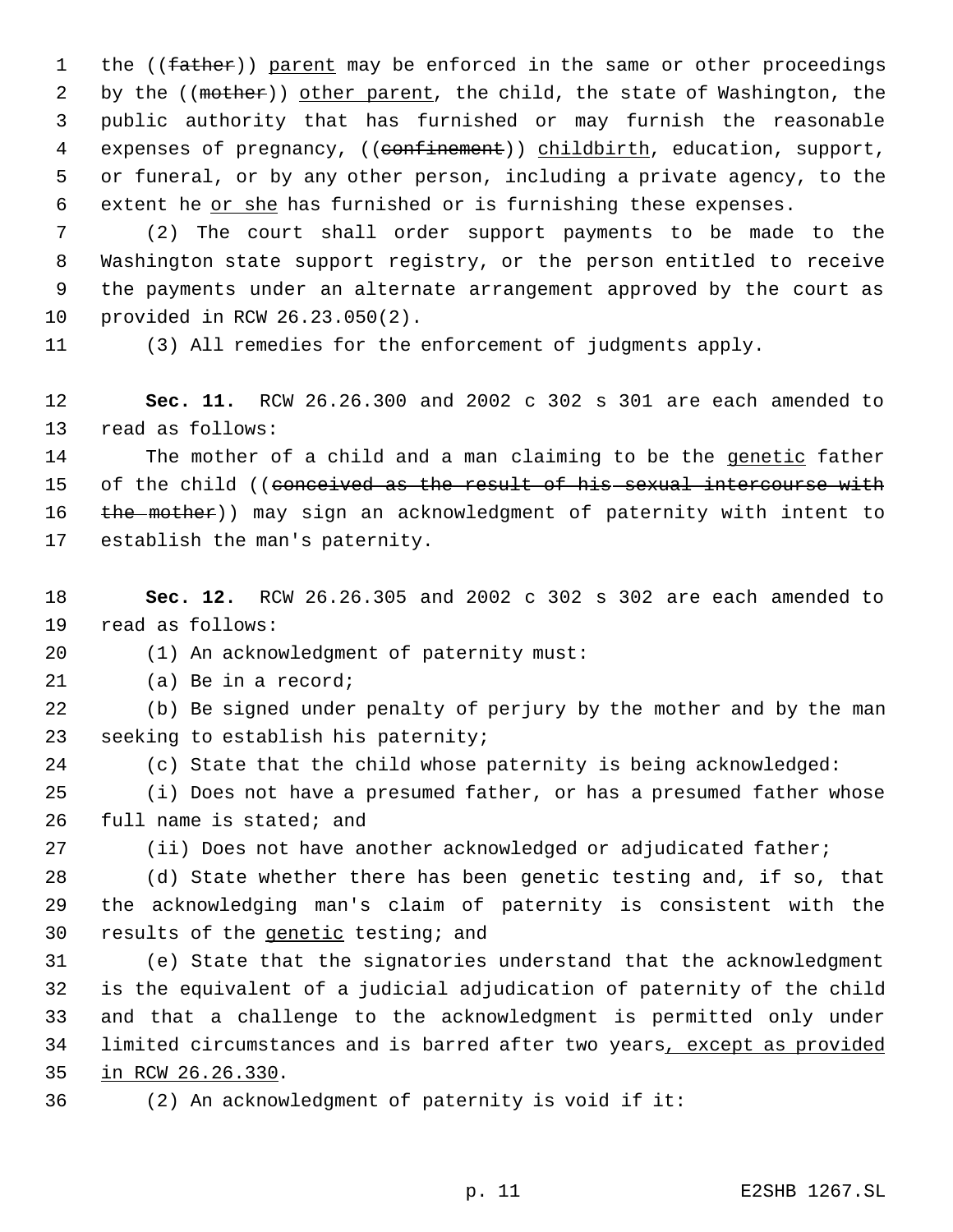1 the ((father)) parent may be enforced in the same or other proceedings 2 by the ((mother)) other parent, the child, the state of Washington, the public authority that has furnished or may furnish the reasonable 4 expenses of pregnancy, ((confinement)) childbirth, education, support, or funeral, or by any other person, including a private agency, to the 6 extent he or she has furnished or is furnishing these expenses.

 (2) The court shall order support payments to be made to the Washington state support registry, or the person entitled to receive the payments under an alternate arrangement approved by the court as provided in RCW 26.23.050(2).

(3) All remedies for the enforcement of judgments apply.

 **Sec. 11.** RCW 26.26.300 and 2002 c 302 s 301 are each amended to read as follows:

14 The mother of a child and a man claiming to be the genetic father 15 of the child ((conceived as the result of his sexual intercourse with 16 the mother)) may sign an acknowledgment of paternity with intent to establish the man's paternity.

 **Sec. 12.** RCW 26.26.305 and 2002 c 302 s 302 are each amended to read as follows:

(1) An acknowledgment of paternity must:

(a) Be in a record;

 (b) Be signed under penalty of perjury by the mother and by the man seeking to establish his paternity;

(c) State that the child whose paternity is being acknowledged:

 (i) Does not have a presumed father, or has a presumed father whose full name is stated; and

(ii) Does not have another acknowledged or adjudicated father;

 (d) State whether there has been genetic testing and, if so, that the acknowledging man's claim of paternity is consistent with the results of the genetic testing; and

 (e) State that the signatories understand that the acknowledgment is the equivalent of a judicial adjudication of paternity of the child and that a challenge to the acknowledgment is permitted only under 34 limited circumstances and is barred after two years, except as provided in RCW 26.26.330.

(2) An acknowledgment of paternity is void if it: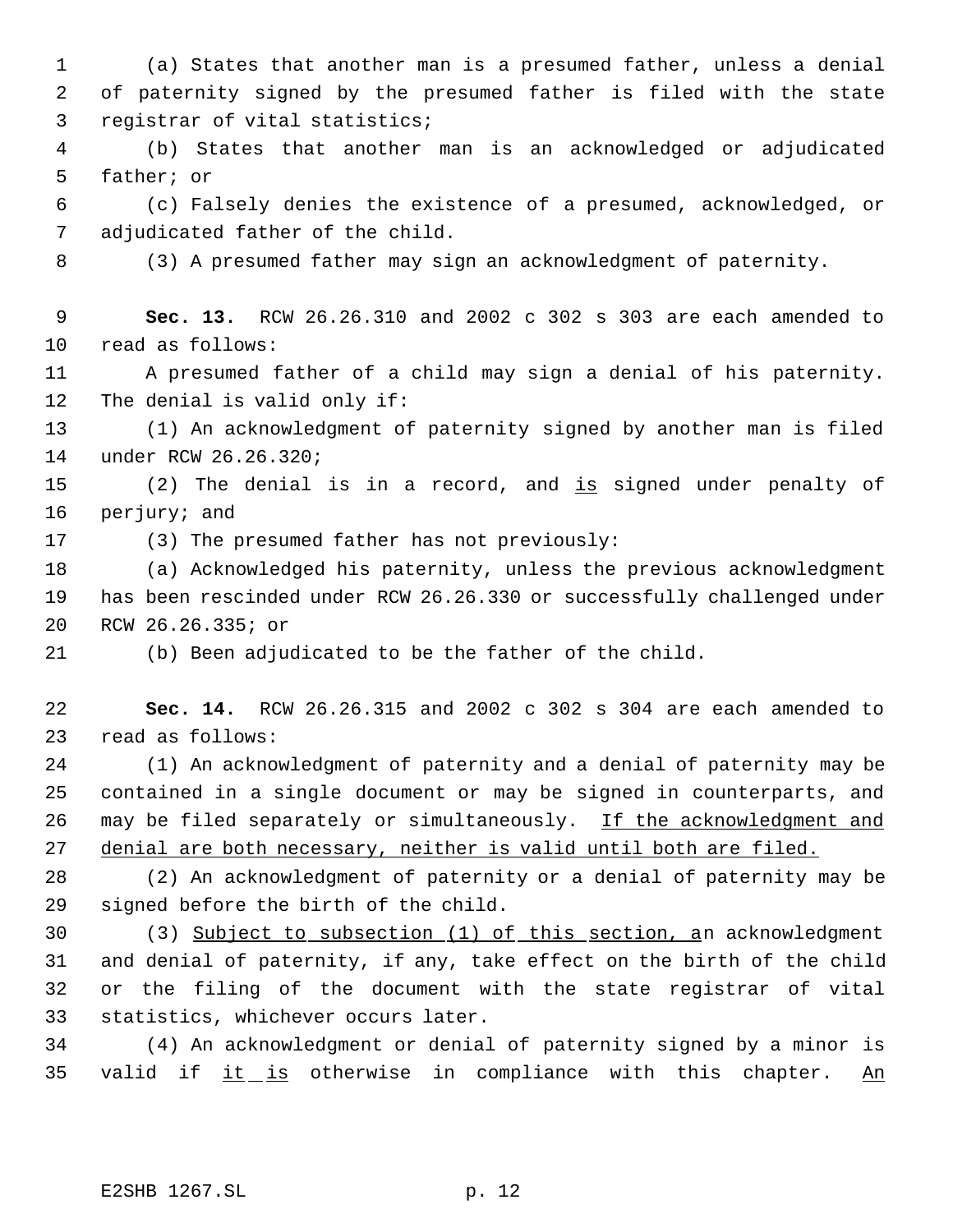(a) States that another man is a presumed father, unless a denial of paternity signed by the presumed father is filed with the state registrar of vital statistics;

 (b) States that another man is an acknowledged or adjudicated father; or

 (c) Falsely denies the existence of a presumed, acknowledged, or adjudicated father of the child.

(3) A presumed father may sign an acknowledgment of paternity.

 **Sec. 13.** RCW 26.26.310 and 2002 c 302 s 303 are each amended to read as follows:

 A presumed father of a child may sign a denial of his paternity. The denial is valid only if:

 (1) An acknowledgment of paternity signed by another man is filed under RCW 26.26.320;

15 (2) The denial is in a record, and is signed under penalty of perjury; and

(3) The presumed father has not previously:

 (a) Acknowledged his paternity, unless the previous acknowledgment has been rescinded under RCW 26.26.330 or successfully challenged under RCW 26.26.335; or

(b) Been adjudicated to be the father of the child.

 **Sec. 14.** RCW 26.26.315 and 2002 c 302 s 304 are each amended to read as follows:

 (1) An acknowledgment of paternity and a denial of paternity may be contained in a single document or may be signed in counterparts, and 26 may be filed separately or simultaneously. If the acknowledgment and denial are both necessary, neither is valid until both are filed.

 (2) An acknowledgment of paternity or a denial of paternity may be signed before the birth of the child.

 (3) Subject to subsection (1) of this section, an acknowledgment and denial of paternity, if any, take effect on the birth of the child or the filing of the document with the state registrar of vital statistics, whichever occurs later.

 (4) An acknowledgment or denial of paternity signed by a minor is 35 valid if it is otherwise in compliance with this chapter. An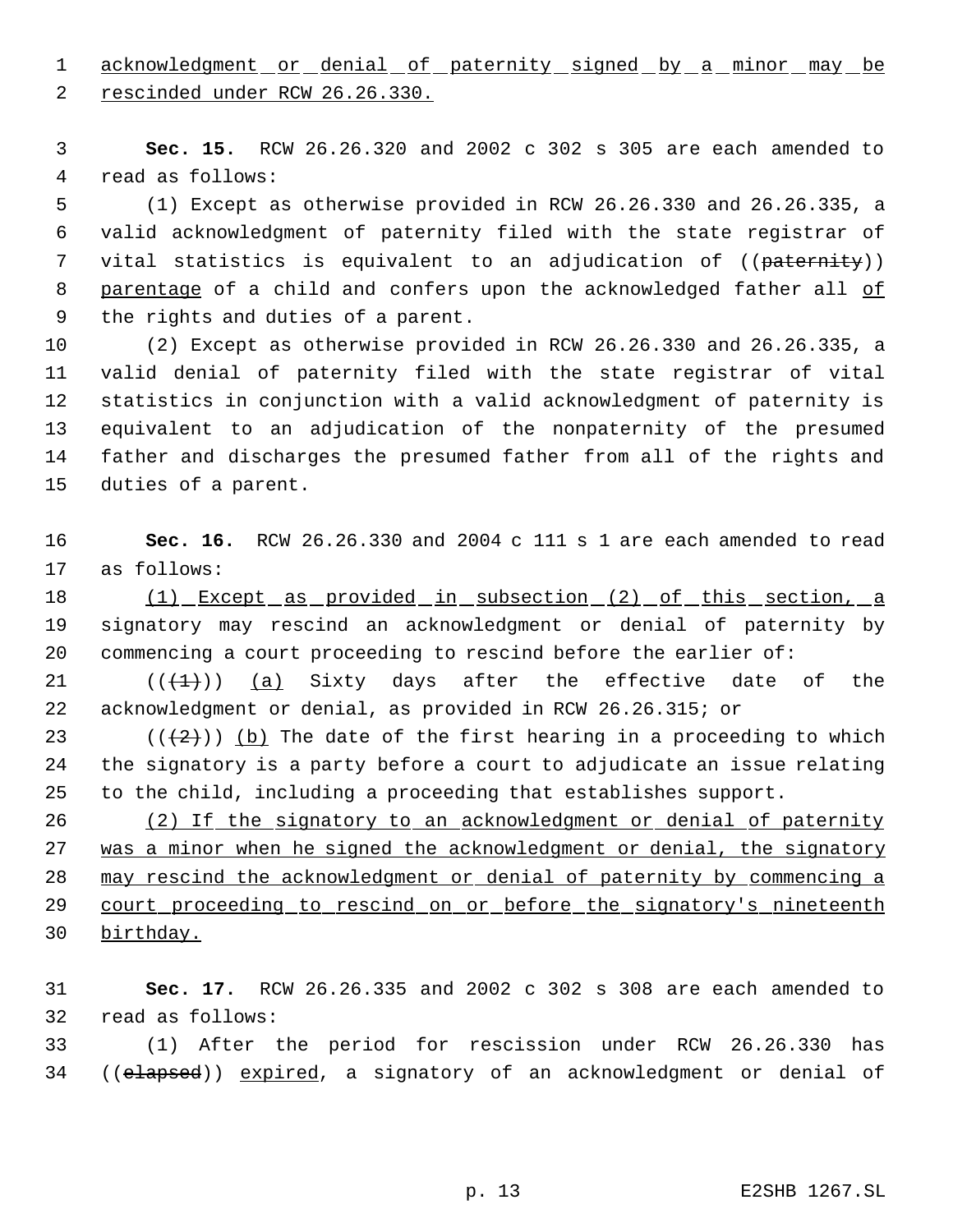1 acknowledgment or denial of paternity signed by a minor may be

rescinded under RCW 26.26.330.

 **Sec. 15.** RCW 26.26.320 and 2002 c 302 s 305 are each amended to read as follows:

 (1) Except as otherwise provided in RCW 26.26.330 and 26.26.335, a valid acknowledgment of paternity filed with the state registrar of 7 vital statistics is equivalent to an adjudication of ((paternity)) 8 parentage of a child and confers upon the acknowledged father all of the rights and duties of a parent.

 (2) Except as otherwise provided in RCW 26.26.330 and 26.26.335, a valid denial of paternity filed with the state registrar of vital statistics in conjunction with a valid acknowledgment of paternity is equivalent to an adjudication of the nonpaternity of the presumed father and discharges the presumed father from all of the rights and duties of a parent.

 **Sec. 16.** RCW 26.26.330 and 2004 c 111 s 1 are each amended to read as follows:

18 (1) Except as provided in subsection (2) of this section, a signatory may rescind an acknowledgment or denial of paternity by commencing a court proceeding to rescind before the earlier of:

 $((\{1\})$   $(a)$  Sixty days after the effective date of the acknowledgment or denial, as provided in RCW 26.26.315; or

23 ( $(\frac{2}{2})$ ) (b) The date of the first hearing in a proceeding to which the signatory is a party before a court to adjudicate an issue relating to the child, including a proceeding that establishes support.

26 (2) If the signatory to an acknowledgment or denial of paternity was a minor when he signed the acknowledgment or denial, the signatory may rescind the acknowledgment or denial of paternity by commencing a 29 court proceeding to rescind on or before the signatory's nineteenth birthday.

 **Sec. 17.** RCW 26.26.335 and 2002 c 302 s 308 are each amended to read as follows:

 (1) After the period for rescission under RCW 26.26.330 has 34 ((elapsed)) expired, a signatory of an acknowledgment or denial of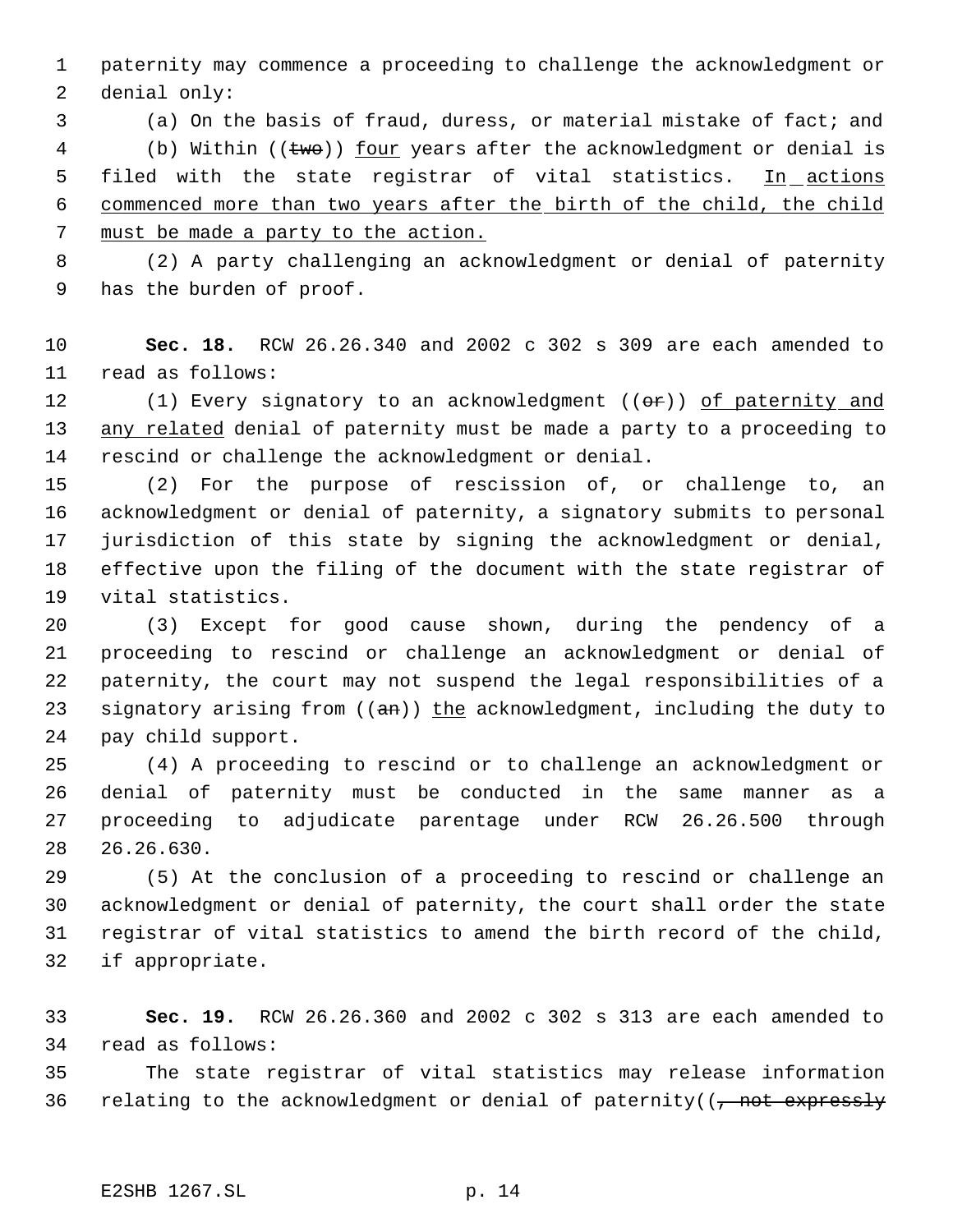paternity may commence a proceeding to challenge the acknowledgment or denial only:

 (a) On the basis of fraud, duress, or material mistake of fact; and 4 (b) Within (( $t$ wo)) <u>four</u> years after the acknowledgment or denial is 5 filed with the state registrar of vital statistics. In actions commenced more than two years after the birth of the child, the child must be made a party to the action.

 (2) A party challenging an acknowledgment or denial of paternity has the burden of proof.

 **Sec. 18.** RCW 26.26.340 and 2002 c 302 s 309 are each amended to read as follows:

12 (1) Every signatory to an acknowledgment ((or)) of paternity and 13 any related denial of paternity must be made a party to a proceeding to rescind or challenge the acknowledgment or denial.

 (2) For the purpose of rescission of, or challenge to, an acknowledgment or denial of paternity, a signatory submits to personal jurisdiction of this state by signing the acknowledgment or denial, effective upon the filing of the document with the state registrar of vital statistics.

 (3) Except for good cause shown, during the pendency of a proceeding to rescind or challenge an acknowledgment or denial of paternity, the court may not suspend the legal responsibilities of a 23 signatory arising from  $((an))$  the acknowledgment, including the duty to pay child support.

 (4) A proceeding to rescind or to challenge an acknowledgment or denial of paternity must be conducted in the same manner as a proceeding to adjudicate parentage under RCW 26.26.500 through 26.26.630.

 (5) At the conclusion of a proceeding to rescind or challenge an acknowledgment or denial of paternity, the court shall order the state registrar of vital statistics to amend the birth record of the child, if appropriate.

 **Sec. 19.** RCW 26.26.360 and 2002 c 302 s 313 are each amended to read as follows:

 The state registrar of vital statistics may release information 36 relating to the acknowledgment or denial of paternity( $\frac{1}{10}$  not expressly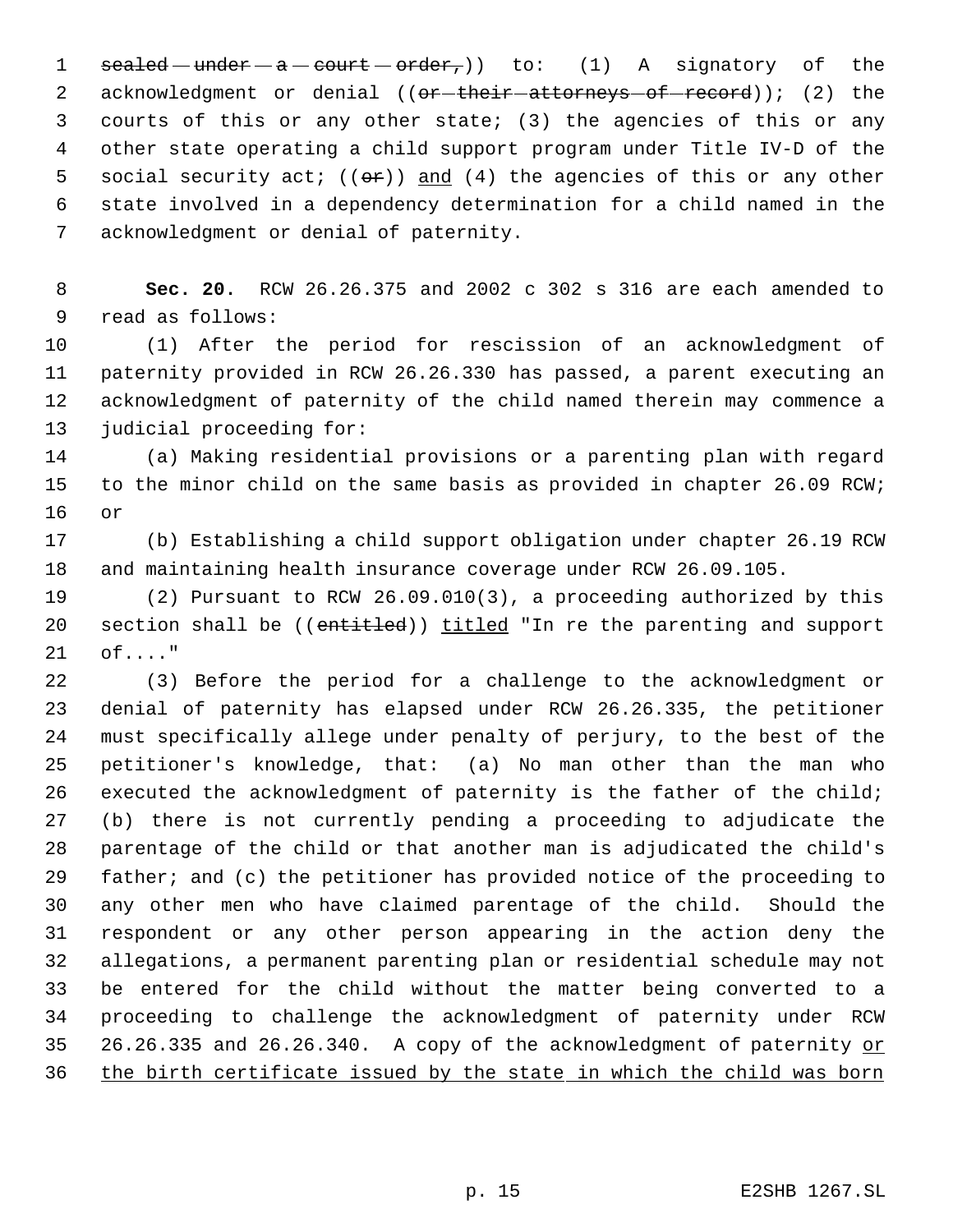1 sealed  $-\text{under }-\text{a}-\text{court}-\text{order}_\tau$ ) to: (1) A signatory of the 2 acknowledgment or denial ((or-their-attorneys-of-record)); (2) the courts of this or any other state; (3) the agencies of this or any other state operating a child support program under Title IV-D of the 5 social security act;  $((\theta \cdot \hat{r}))$  and  $(4)$  the agencies of this or any other state involved in a dependency determination for a child named in the acknowledgment or denial of paternity.

 **Sec. 20.** RCW 26.26.375 and 2002 c 302 s 316 are each amended to read as follows:

 (1) After the period for rescission of an acknowledgment of paternity provided in RCW 26.26.330 has passed, a parent executing an acknowledgment of paternity of the child named therein may commence a judicial proceeding for:

 (a) Making residential provisions or a parenting plan with regard to the minor child on the same basis as provided in chapter 26.09 RCW; or

 (b) Establishing a child support obligation under chapter 26.19 RCW and maintaining health insurance coverage under RCW 26.09.105.

 (2) Pursuant to RCW 26.09.010(3), a proceeding authorized by this 20 section shall be ((entitled)) titled "In re the parenting and support of...."

 (3) Before the period for a challenge to the acknowledgment or denial of paternity has elapsed under RCW 26.26.335, the petitioner must specifically allege under penalty of perjury, to the best of the petitioner's knowledge, that: (a) No man other than the man who executed the acknowledgment of paternity is the father of the child; (b) there is not currently pending a proceeding to adjudicate the parentage of the child or that another man is adjudicated the child's father; and (c) the petitioner has provided notice of the proceeding to any other men who have claimed parentage of the child. Should the respondent or any other person appearing in the action deny the allegations, a permanent parenting plan or residential schedule may not be entered for the child without the matter being converted to a proceeding to challenge the acknowledgment of paternity under RCW 35 26.26.335 and 26.26.340. A copy of the acknowledgment of paternity or 36 the birth certificate issued by the state in which the child was born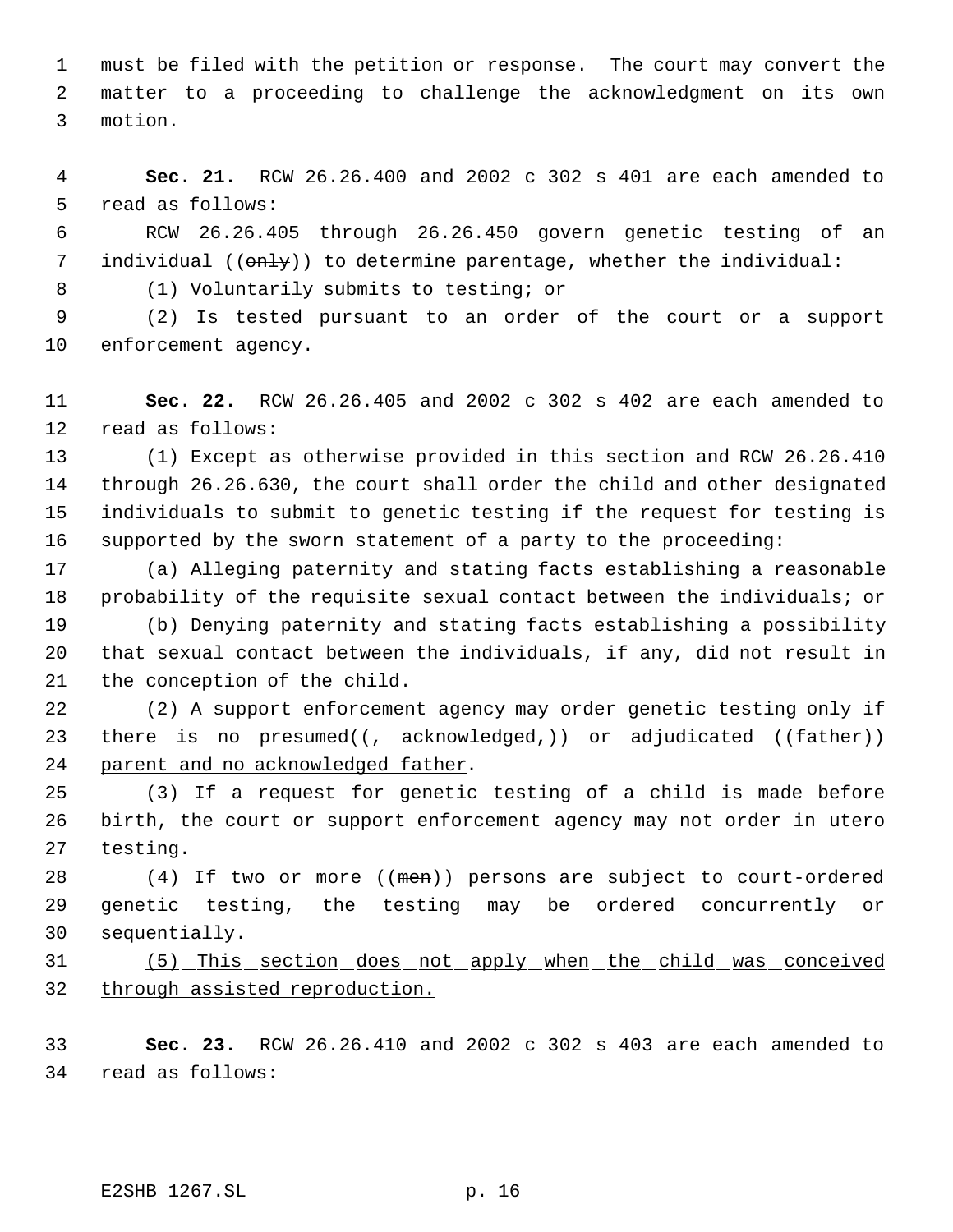must be filed with the petition or response. The court may convert the matter to a proceeding to challenge the acknowledgment on its own motion.

 **Sec. 21.** RCW 26.26.400 and 2002 c 302 s 401 are each amended to read as follows:

 RCW 26.26.405 through 26.26.450 govern genetic testing of an 7 individual (( $\theta$ nly)) to determine parentage, whether the individual:

(1) Voluntarily submits to testing; or

 (2) Is tested pursuant to an order of the court or a support enforcement agency.

 **Sec. 22.** RCW 26.26.405 and 2002 c 302 s 402 are each amended to read as follows:

 (1) Except as otherwise provided in this section and RCW 26.26.410 through 26.26.630, the court shall order the child and other designated individuals to submit to genetic testing if the request for testing is supported by the sworn statement of a party to the proceeding:

 (a) Alleging paternity and stating facts establishing a reasonable probability of the requisite sexual contact between the individuals; or

 (b) Denying paternity and stating facts establishing a possibility that sexual contact between the individuals, if any, did not result in the conception of the child.

 (2) A support enforcement agency may order genetic testing only if 23 there is no presumed( $(- - \text{acknowledged},)$ ) or adjudicated ((father)) parent and no acknowledged father.

 (3) If a request for genetic testing of a child is made before birth, the court or support enforcement agency may not order in utero testing.

28 (4) If two or more ((men)) persons are subject to court-ordered genetic testing, the testing may be ordered concurrently or sequentially.

 (5) This section does not apply when the child was conceived through assisted reproduction.

 **Sec. 23.** RCW 26.26.410 and 2002 c 302 s 403 are each amended to read as follows:

E2SHB 1267.SL p. 16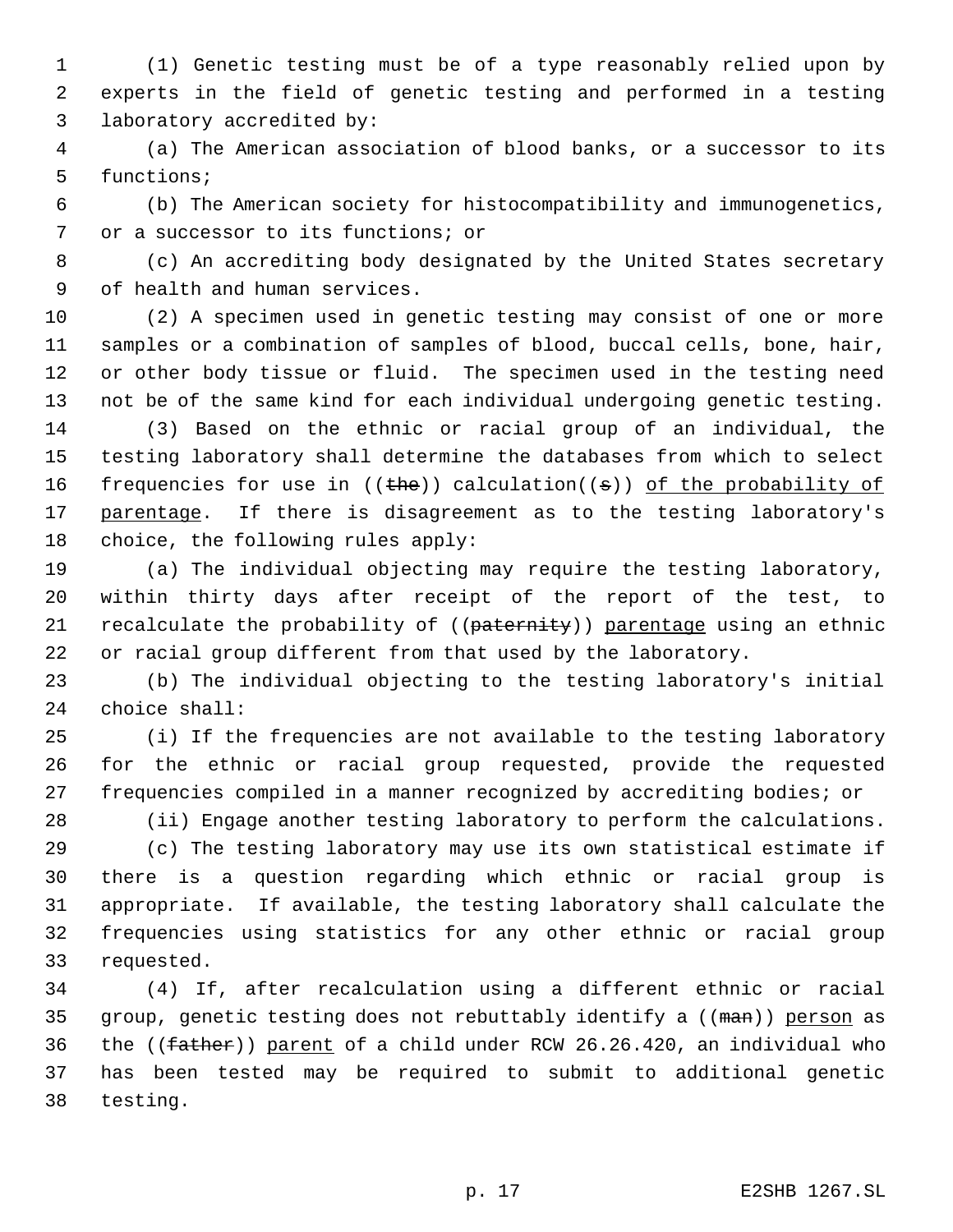(1) Genetic testing must be of a type reasonably relied upon by experts in the field of genetic testing and performed in a testing laboratory accredited by:

 (a) The American association of blood banks, or a successor to its functions;

 (b) The American society for histocompatibility and immunogenetics, or a successor to its functions; or

 (c) An accrediting body designated by the United States secretary of health and human services.

 (2) A specimen used in genetic testing may consist of one or more samples or a combination of samples of blood, buccal cells, bone, hair, or other body tissue or fluid. The specimen used in the testing need not be of the same kind for each individual undergoing genetic testing.

 (3) Based on the ethnic or racial group of an individual, the testing laboratory shall determine the databases from which to select 16 frequencies for use in  $((the))$  calculation $((s))$  of the probability of 17 parentage. If there is disagreement as to the testing laboratory's choice, the following rules apply:

 (a) The individual objecting may require the testing laboratory, within thirty days after receipt of the report of the test, to 21 recalculate the probability of ((paternity)) parentage using an ethnic or racial group different from that used by the laboratory.

 (b) The individual objecting to the testing laboratory's initial choice shall:

 (i) If the frequencies are not available to the testing laboratory for the ethnic or racial group requested, provide the requested frequencies compiled in a manner recognized by accrediting bodies; or

(ii) Engage another testing laboratory to perform the calculations.

 (c) The testing laboratory may use its own statistical estimate if there is a question regarding which ethnic or racial group is appropriate. If available, the testing laboratory shall calculate the frequencies using statistics for any other ethnic or racial group requested.

 (4) If, after recalculation using a different ethnic or racial 35 group, genetic testing does not rebuttably identify a ((man)) person as 36 the ( $(\text{father})$ ) parent of a child under RCW 26.26.420, an individual who has been tested may be required to submit to additional genetic testing.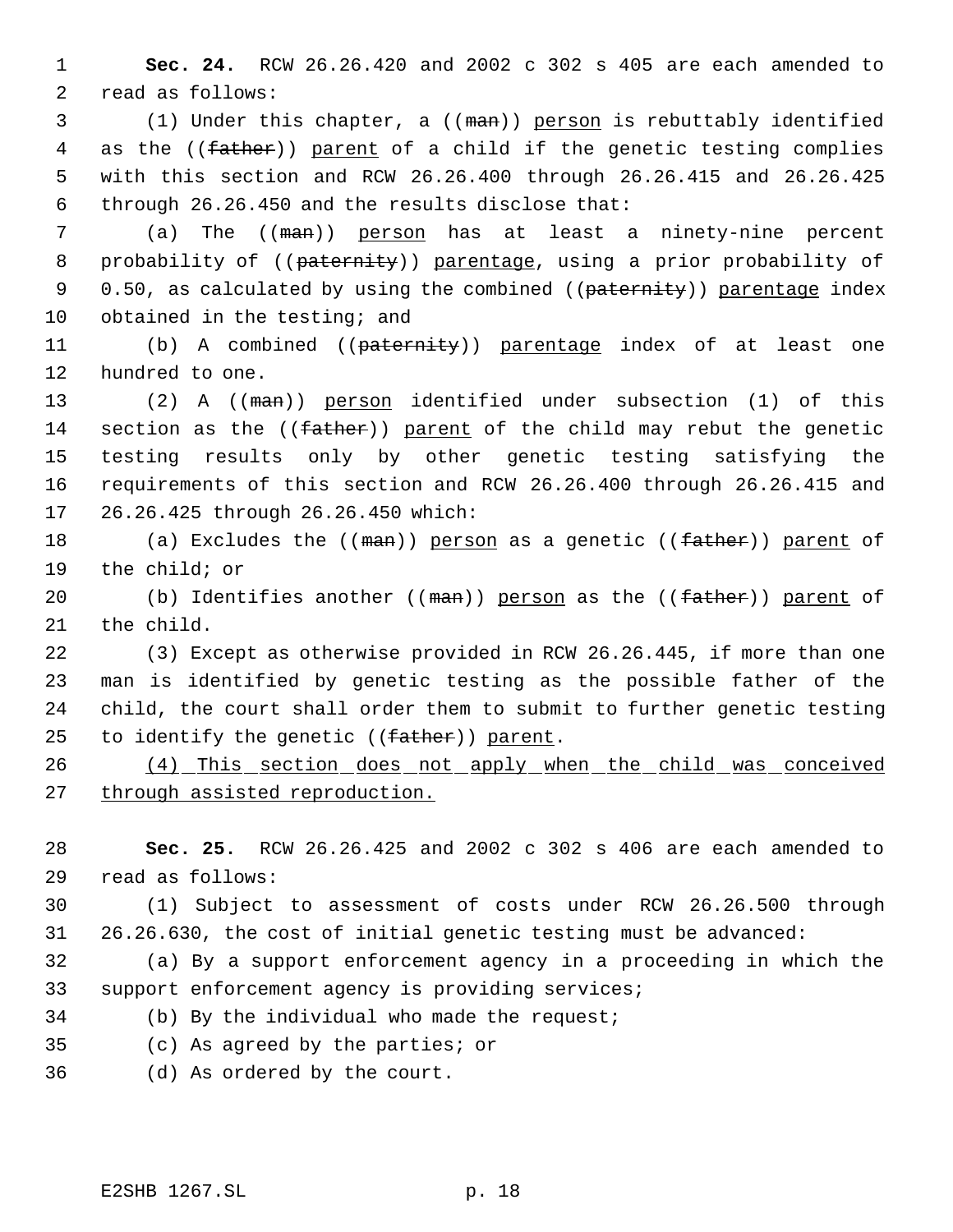**Sec. 24.** RCW 26.26.420 and 2002 c 302 s 405 are each amended to read as follows:

 (1) Under this chapter, a ((man)) person is rebuttably identified 4 as the ((father)) parent of a child if the genetic testing complies with this section and RCW 26.26.400 through 26.26.415 and 26.26.425 through 26.26.450 and the results disclose that:

 (a) The ((man)) person has at least a ninety-nine percent 8 probability of ((paternity)) parentage, using a prior probability of 9 0.50, as calculated by using the combined ((paternity)) parentage index 10 obtained in the testing; and

11 (b) A combined ((paternity)) parentage index of at least one hundred to one.

13 (2) A ((man)) person identified under subsection (1) of this 14 section as the ((father)) parent of the child may rebut the genetic testing results only by other genetic testing satisfying the requirements of this section and RCW 26.26.400 through 26.26.415 and 26.26.425 through 26.26.450 which:

18 (a) Excludes the ((man)) person as a genetic ((father)) parent of the child; or

20 (b) Identifies another ((man)) person as the ((father)) parent of the child.

 (3) Except as otherwise provided in RCW 26.26.445, if more than one man is identified by genetic testing as the possible father of the child, the court shall order them to submit to further genetic testing 25 to identify the genetic ((father)) parent.

 (4) This section does not apply when the child was conceived through assisted reproduction.

 **Sec. 25.** RCW 26.26.425 and 2002 c 302 s 406 are each amended to read as follows:

 (1) Subject to assessment of costs under RCW 26.26.500 through 26.26.630, the cost of initial genetic testing must be advanced:

 (a) By a support enforcement agency in a proceeding in which the support enforcement agency is providing services;

- (b) By the individual who made the request;
- (c) As agreed by the parties; or
- (d) As ordered by the court.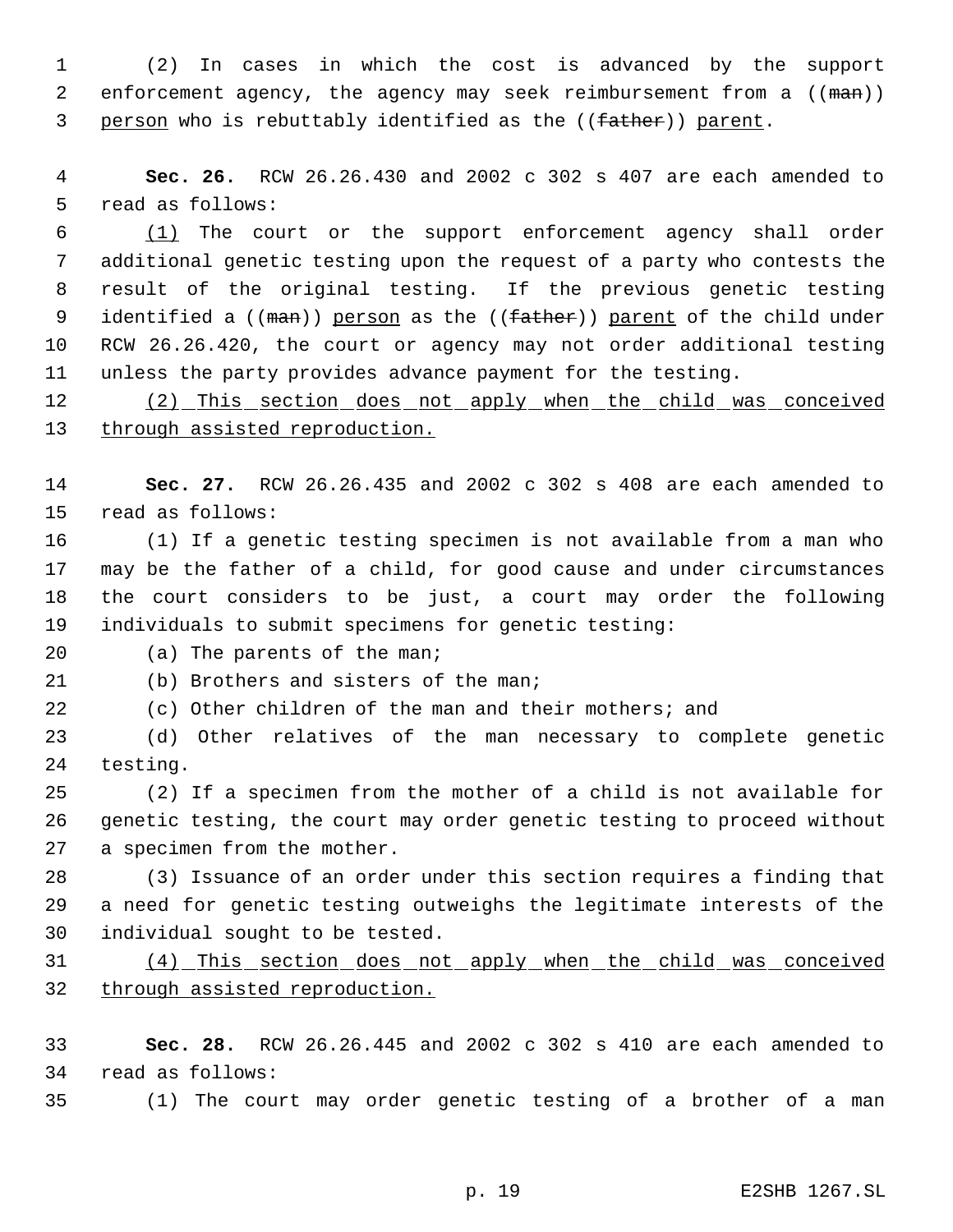(2) In cases in which the cost is advanced by the support 2 enforcement agency, the agency may seek reimbursement from a ((man)) 3 person who is rebuttably identified as the ((father)) parent.

 **Sec. 26.** RCW 26.26.430 and 2002 c 302 s 407 are each amended to read as follows:

 (1) The court or the support enforcement agency shall order additional genetic testing upon the request of a party who contests the result of the original testing. If the previous genetic testing 9 identified a ((man)) person as the ((father)) parent of the child under RCW 26.26.420, the court or agency may not order additional testing unless the party provides advance payment for the testing.

12 (2) This section does not apply when the child was conceived through assisted reproduction.

 **Sec. 27.** RCW 26.26.435 and 2002 c 302 s 408 are each amended to read as follows:

 (1) If a genetic testing specimen is not available from a man who may be the father of a child, for good cause and under circumstances the court considers to be just, a court may order the following individuals to submit specimens for genetic testing:

20 (a) The parents of the man;

(b) Brothers and sisters of the man;

(c) Other children of the man and their mothers; and

 (d) Other relatives of the man necessary to complete genetic testing.

 (2) If a specimen from the mother of a child is not available for genetic testing, the court may order genetic testing to proceed without a specimen from the mother.

 (3) Issuance of an order under this section requires a finding that a need for genetic testing outweighs the legitimate interests of the individual sought to be tested.

 (4) This section does not apply when the child was conceived through assisted reproduction.

 **Sec. 28.** RCW 26.26.445 and 2002 c 302 s 410 are each amended to read as follows:

(1) The court may order genetic testing of a brother of a man

p. 19 E2SHB 1267.SL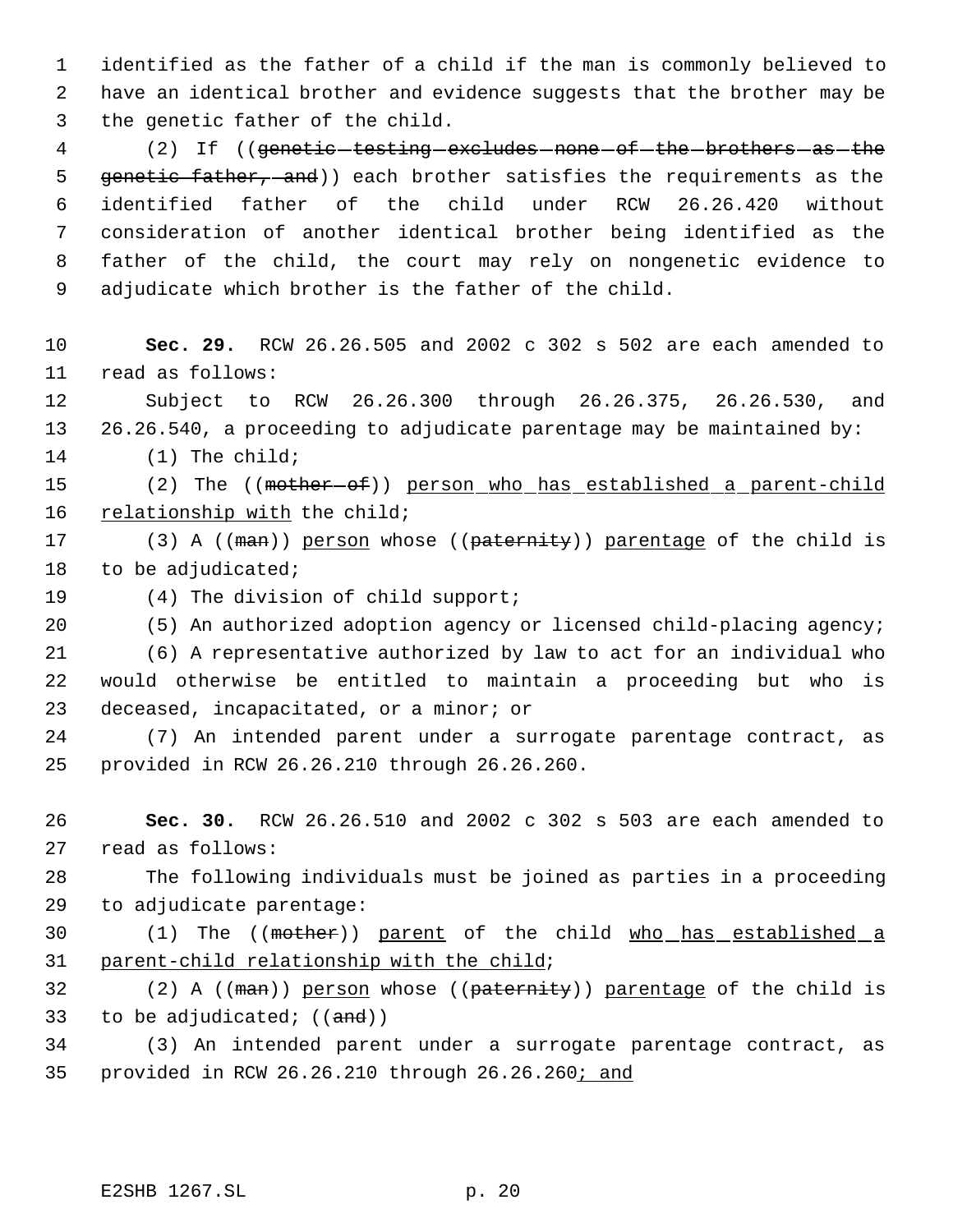identified as the father of a child if the man is commonly believed to have an identical brother and evidence suggests that the brother may be the genetic father of the child.

4 (2) If ((genetic-testing-excludes-none-of-the-brothers-as-the 5 genetic father, and)) each brother satisfies the requirements as the identified father of the child under RCW 26.26.420 without consideration of another identical brother being identified as the father of the child, the court may rely on nongenetic evidence to adjudicate which brother is the father of the child.

 **Sec. 29.** RCW 26.26.505 and 2002 c 302 s 502 are each amended to read as follows:

 Subject to RCW 26.26.300 through 26.26.375, 26.26.530, and 26.26.540, a proceeding to adjudicate parentage may be maintained by:

(1) The child;

15 (2) The ((mother-of)) person who has established a parent-child 16 relationship with the child;

17 (3) A ((man)) person whose ((paternity)) parentage of the child is 18 to be adjudicated;

(4) The division of child support;

(5) An authorized adoption agency or licensed child-placing agency;

 (6) A representative authorized by law to act for an individual who would otherwise be entitled to maintain a proceeding but who is deceased, incapacitated, or a minor; or

 (7) An intended parent under a surrogate parentage contract, as provided in RCW 26.26.210 through 26.26.260.

 **Sec. 30.** RCW 26.26.510 and 2002 c 302 s 503 are each amended to read as follows:

 The following individuals must be joined as parties in a proceeding to adjudicate parentage:

30 (1) The ((mother)) parent of the child who has established a parent-child relationship with the child;

32 (2) A ((man)) person whose ((paternity)) parentage of the child is 33 to be adjudicated;  $((and))$ 

 (3) An intended parent under a surrogate parentage contract, as 35 provided in RCW 26.26.210 through 26.26.260; and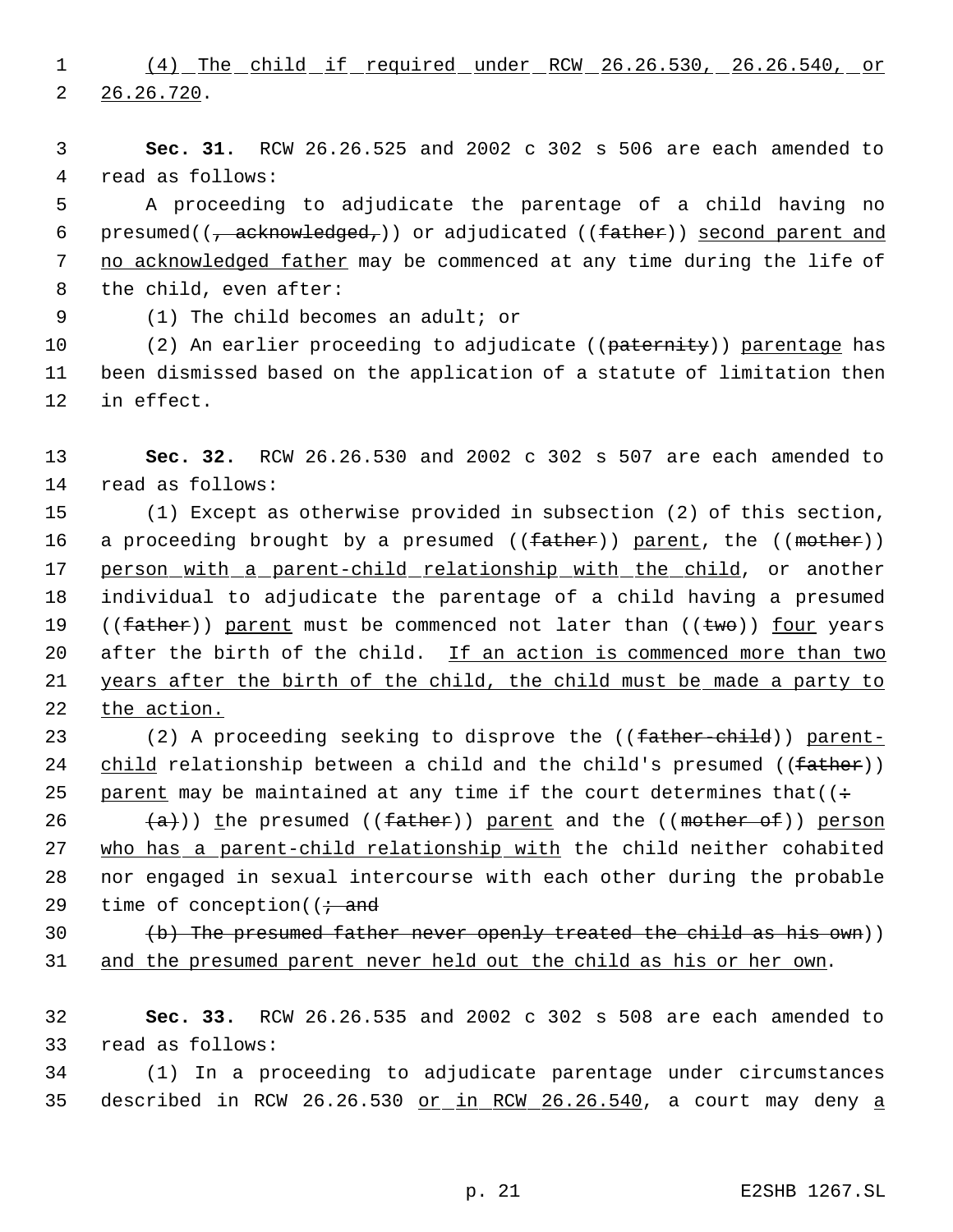1 (4) The child if required under RCW 26.26.530, 26.26.540, or 2 26.26.720.

 3 **Sec. 31.** RCW 26.26.525 and 2002 c 302 s 506 are each amended to 4 read as follows:

 5 A proceeding to adjudicate the parentage of a child having no 6 presumed( $\left(\frac{1}{f} \text{acknowledged}_f\right)$  or adjudicated ((father)) second parent and 7 no acknowledged father may be commenced at any time during the life of 8 the child, even after:

9 (1) The child becomes an adult; or

10 (2) An earlier proceeding to adjudicate ((paternity)) parentage has 11 been dismissed based on the application of a statute of limitation then 12 in effect.

13 **Sec. 32.** RCW 26.26.530 and 2002 c 302 s 507 are each amended to 14 read as follows:

15 (1) Except as otherwise provided in subsection (2) of this section, 16 a proceeding brought by a presumed ((father)) parent, the ((mother)) 17 person with a parent-child relationship with the child, or another 18 individual to adjudicate the parentage of a child having a presumed 19 (( $father$ ) parent must be commenced not later than (( $twe$ )) four years 20 after the birth of the child. If an action is commenced more than two 21 years after the birth of the child, the child must be made a party to 22 the action.

23 (2) A proceeding seeking to disprove the ((father-child)) parent-24 child relationship between a child and the child's presumed ((father)) 25 parent may be maintained at any time if the court determines that  $($ :

 $(a)$ )) the presumed ((father)) parent and the ((mother of)) person who has a parent-child relationship with the child neither cohabited nor engaged in sexual intercourse with each other during the probable 29 time of conception( $\mathfrak{f}$  and

30  $(b)$  The presumed father never openly treated the child as his own))

31 and the presumed parent never held out the child as his or her own.

32 **Sec. 33.** RCW 26.26.535 and 2002 c 302 s 508 are each amended to 33 read as follows:

34 (1) In a proceeding to adjudicate parentage under circumstances 35 described in RCW 26.26.530 or in RCW 26.26.540, a court may deny a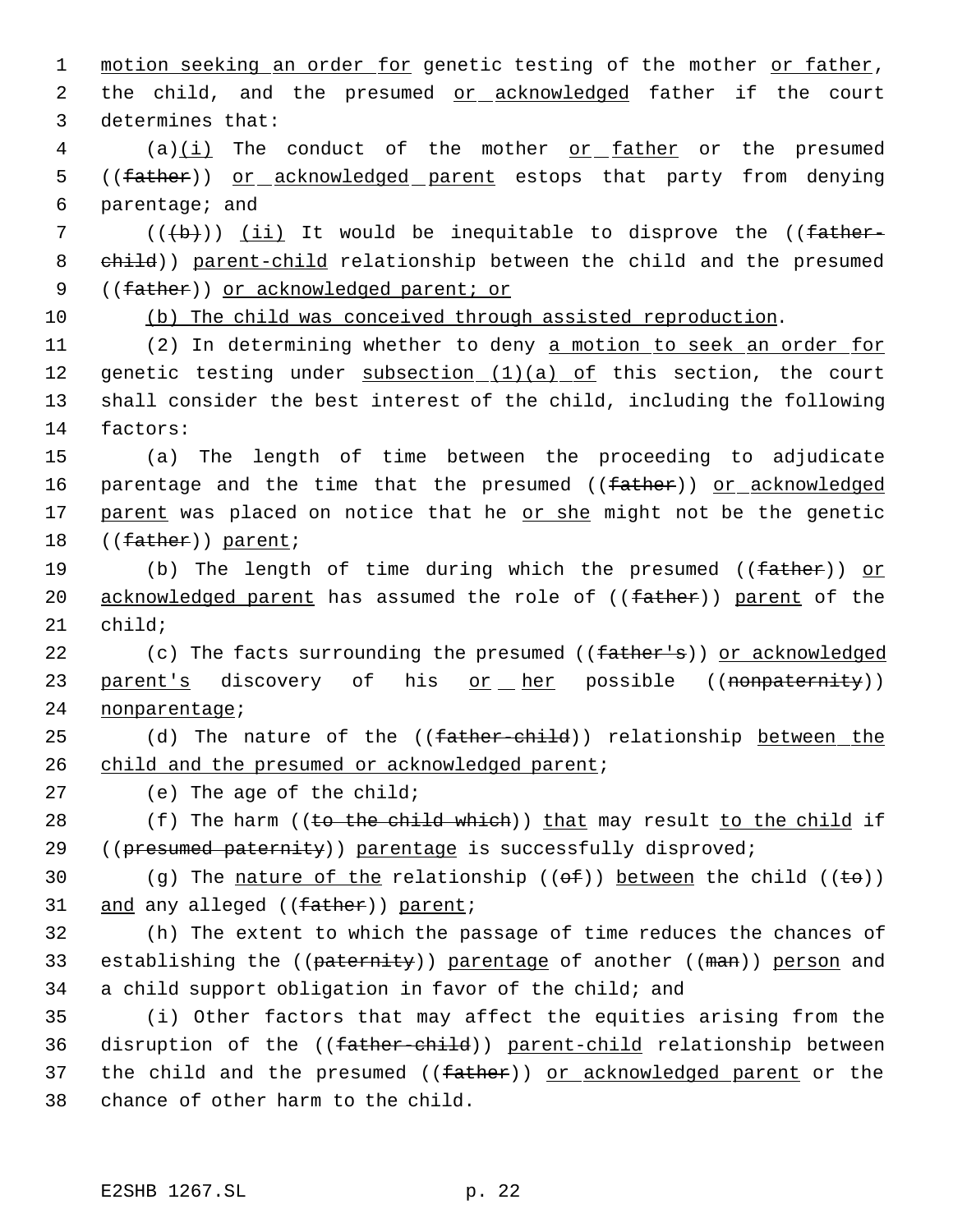1 motion seeking an order for genetic testing of the mother or father, 2 the child, and the presumed or acknowledged father if the court 3 determines that:

 $4$  (a) $(i)$  The conduct of the mother <u>or father</u> or the presumed 5 ((father)) or acknowledged parent estops that party from denying 6 parentage; and

7 (((b))) (ii) It would be inequitable to disprove the ((father-8 child)) parent-child relationship between the child and the presumed 9 ((father)) or acknowledged parent; or

10 (b) The child was conceived through assisted reproduction.

11 (2) In determining whether to deny a motion to seek an order for 12 genetic testing under  $subsection_ (1) (a) of this section, the court$ 13 shall consider the best interest of the child, including the following 14 factors:

15 (a) The length of time between the proceeding to adjudicate 16 parentage and the time that the presumed ((father)) or acknowledged 17 parent was placed on notice that he or she might not be the genetic 18 ((father)) parent;

19 (b) The length of time during which the presumed ((father)) or 20 acknowledged parent has assumed the role of ((father)) parent of the 21 child;

22 (c) The facts surrounding the presumed ((father's)) or acknowledged 23 parent's discovery of his or her possible ((nonpaternity)) 24 nonparentage;

25 (d) The nature of the ((<del>father-child</del>)) relationship between the 26 child and the presumed or acknowledged parent;

27 (e) The age of the child;

28 (f) The harm ((to the child which)) that may result to the child if 29 ((presumed paternity)) parentage is successfully disproved;

30 (g) The nature of the relationship  $((\theta \oplus f))$  between the child  $((\theta \oplus f))$ 31 and any alleged ((father)) parent;

32 (h) The extent to which the passage of time reduces the chances of 33 establishing the ((paternity)) parentage of another ((man)) person and 34 a child support obligation in favor of the child; and

35 (i) Other factors that may affect the equities arising from the 36 disruption of the ((father-child)) parent-child relationship between 37 the child and the presumed ((father)) or acknowledged parent or the 38 chance of other harm to the child.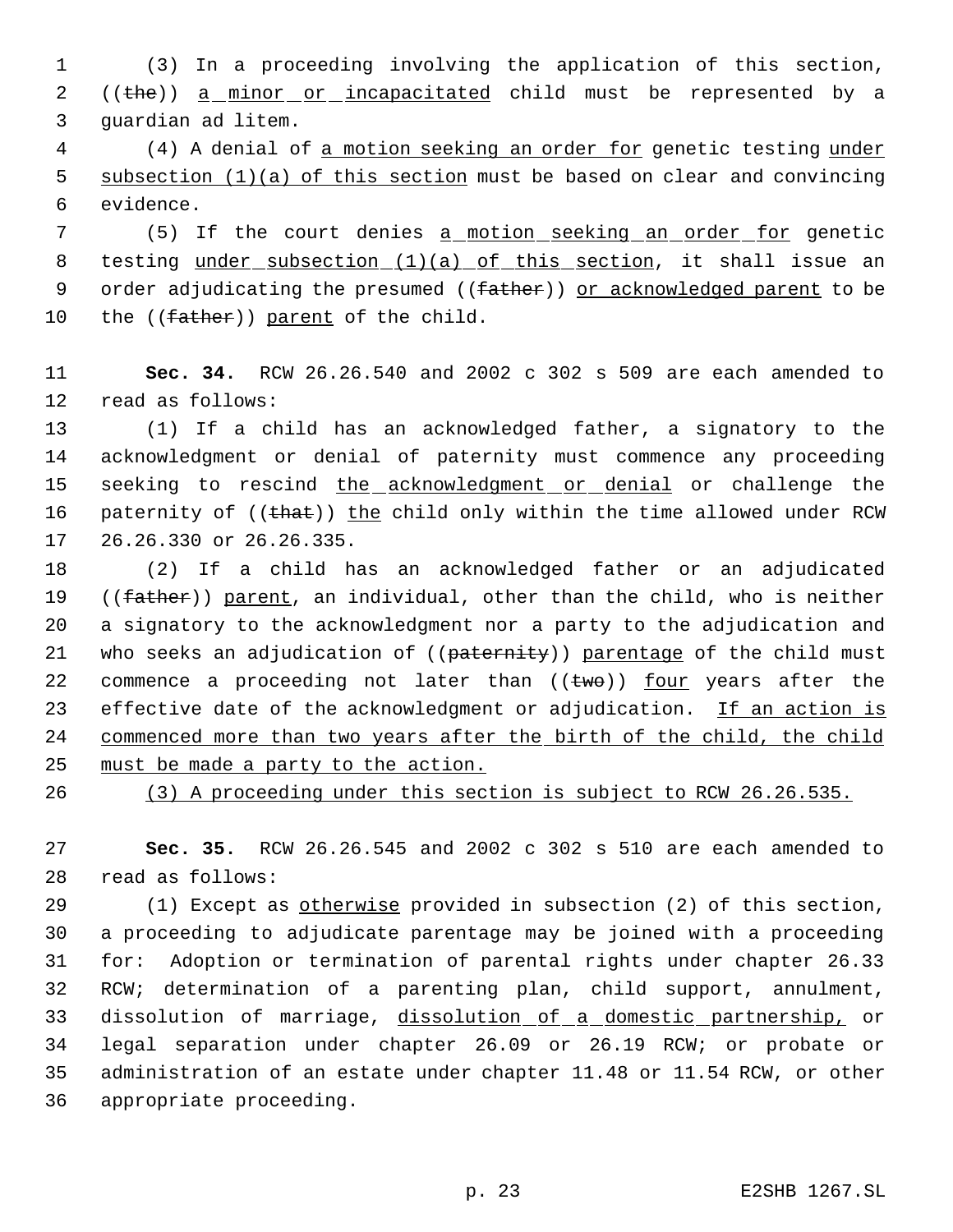(3) In a proceeding involving the application of this section, 2 ((the)) a minor or incapacitated child must be represented by a guardian ad litem.

 (4) A denial of a motion seeking an order for genetic testing under 5 subsection (1)(a) of this section must be based on clear and convincing evidence.

7 (5) If the court denies a motion seeking an order for genetic 8 testing under subsection (1)(a) of this section, it shall issue an 9 order adjudicating the presumed ((father)) or acknowledged parent to be 10 the ((father)) parent of the child.

 **Sec. 34.** RCW 26.26.540 and 2002 c 302 s 509 are each amended to read as follows:

 (1) If a child has an acknowledged father, a signatory to the acknowledgment or denial of paternity must commence any proceeding 15 seeking to rescind the acknowledgment or denial or challenge the 16 paternity of ((that)) the child only within the time allowed under RCW 26.26.330 or 26.26.335.

 (2) If a child has an acknowledged father or an adjudicated 19 ((father)) parent, an individual, other than the child, who is neither a signatory to the acknowledgment nor a party to the adjudication and 21 who seeks an adjudication of ((paternity)) parentage of the child must 22 commence a proceeding not later than  $((\text{two}))$  four years after the 23 effective date of the acknowledgment or adjudication. If an action is commenced more than two years after the birth of the child, the child must be made a party to the action.

(3) A proceeding under this section is subject to RCW 26.26.535.

 **Sec. 35.** RCW 26.26.545 and 2002 c 302 s 510 are each amended to read as follows:

 (1) Except as otherwise provided in subsection (2) of this section, a proceeding to adjudicate parentage may be joined with a proceeding for: Adoption or termination of parental rights under chapter 26.33 RCW; determination of a parenting plan, child support, annulment, 33 dissolution of marriage, dissolution of a domestic partnership, or legal separation under chapter 26.09 or 26.19 RCW; or probate or administration of an estate under chapter 11.48 or 11.54 RCW, or other appropriate proceeding.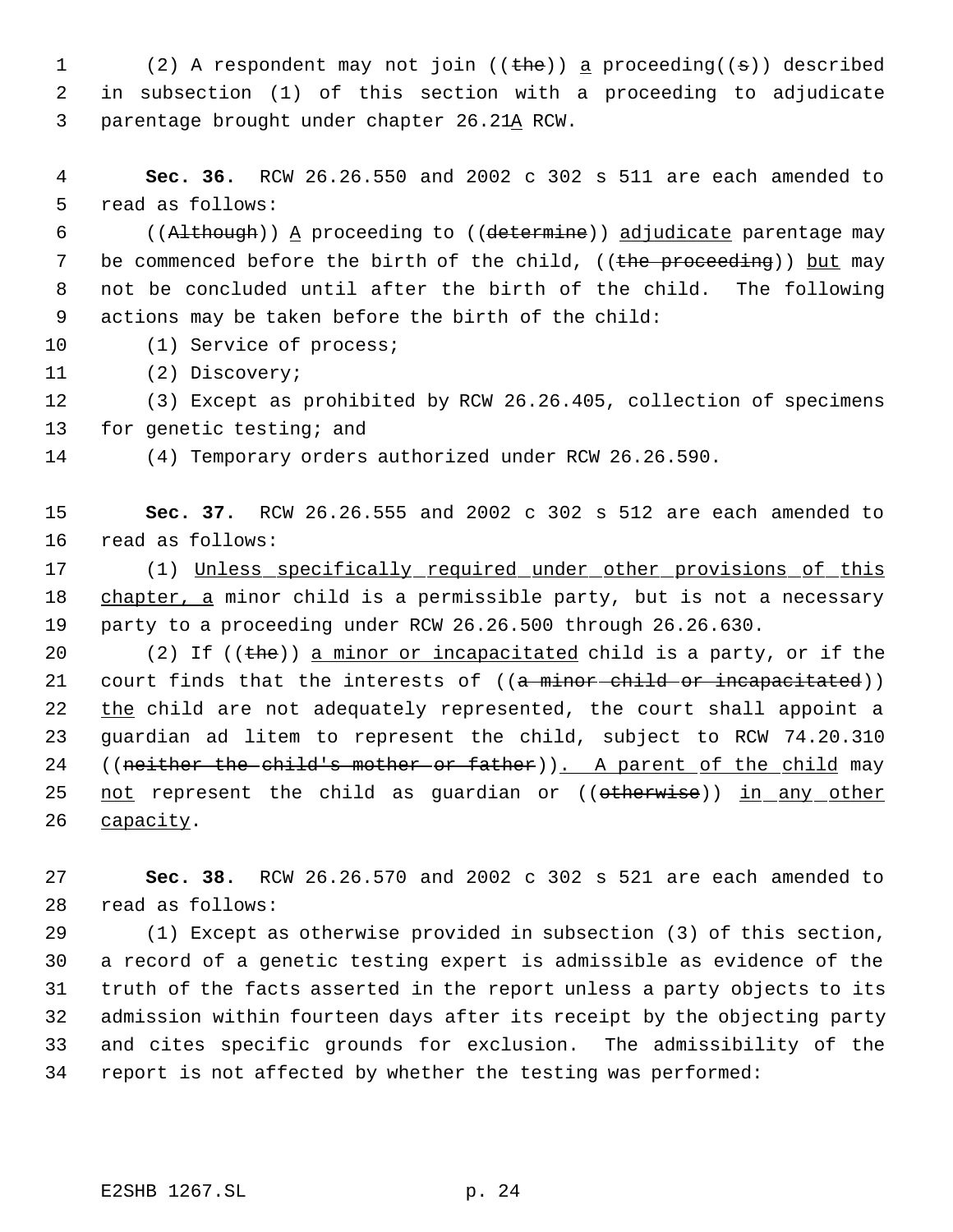1 (2) A respondent may not join  $((the)$  a proceeding( $(s)$ ) described in subsection (1) of this section with a proceeding to adjudicate parentage brought under chapter 26.21A RCW.

 **Sec. 36.** RCW 26.26.550 and 2002 c 302 s 511 are each amended to read as follows:

 ((Although)) A proceeding to ((determine)) adjudicate parentage may 7 be commenced before the birth of the child, ((the proceeding)) but may not be concluded until after the birth of the child. The following actions may be taken before the birth of the child:

10 (1) Service of process;

(2) Discovery;

 (3) Except as prohibited by RCW 26.26.405, collection of specimens 13 for genetic testing; and

(4) Temporary orders authorized under RCW 26.26.590.

 **Sec. 37.** RCW 26.26.555 and 2002 c 302 s 512 are each amended to read as follows:

 (1) Unless specifically required under other provisions of this 18 chapter, a minor child is a permissible party, but is not a necessary party to a proceeding under RCW 26.26.500 through 26.26.630.

20 (2) If  $((the))$  a minor or incapacitated child is a party, or if the 21 court finds that the interests of ((a minor child or incapacitated)) 22 the child are not adequately represented, the court shall appoint a guardian ad litem to represent the child, subject to RCW 74.20.310 24 ((neither the child's mother or father)). A parent of the child may 25 not represent the child as guardian or ((otherwise)) in any other 26 capacity.

 **Sec. 38.** RCW 26.26.570 and 2002 c 302 s 521 are each amended to read as follows:

 (1) Except as otherwise provided in subsection (3) of this section, a record of a genetic testing expert is admissible as evidence of the truth of the facts asserted in the report unless a party objects to its admission within fourteen days after its receipt by the objecting party and cites specific grounds for exclusion. The admissibility of the report is not affected by whether the testing was performed: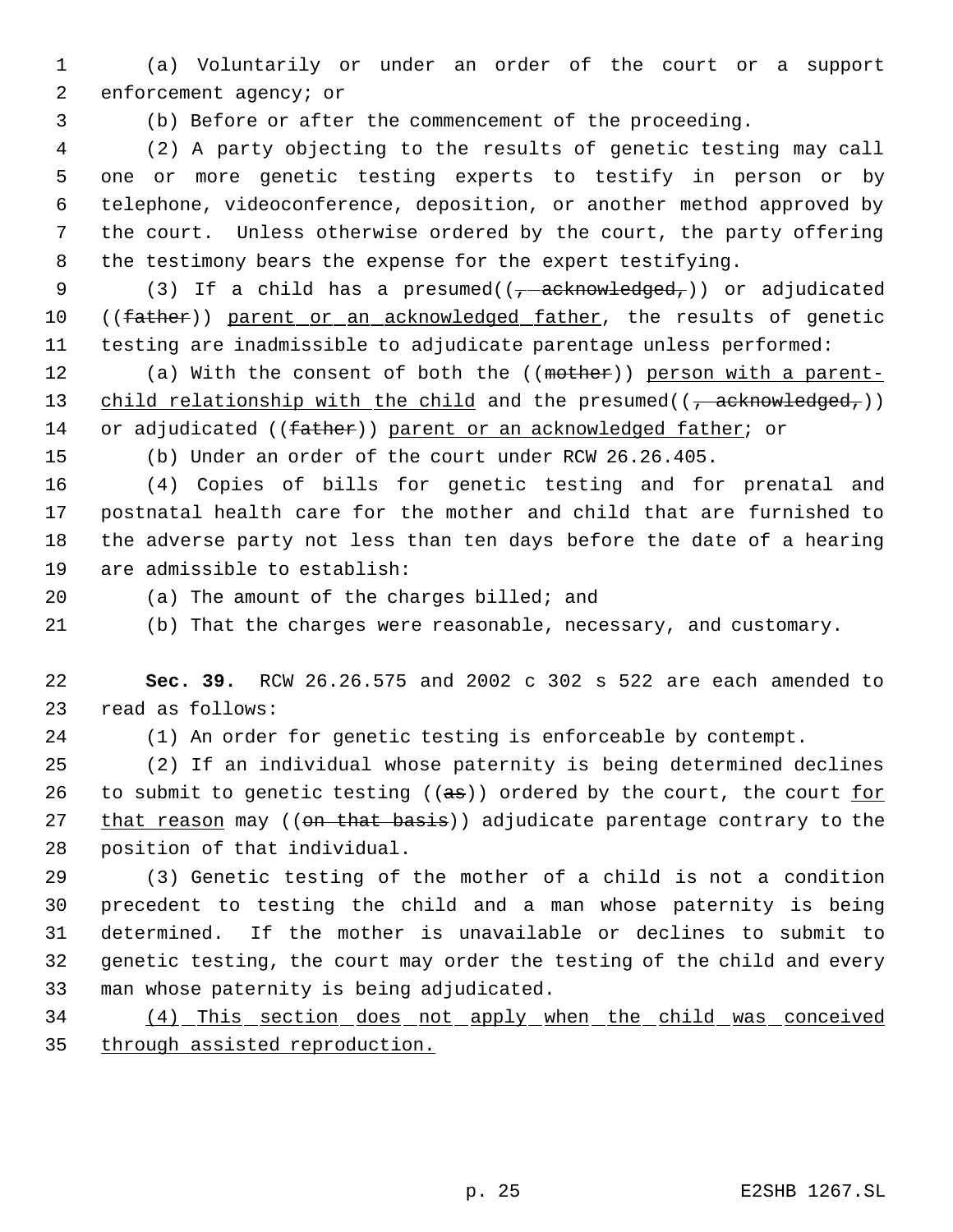(a) Voluntarily or under an order of the court or a support enforcement agency; or

(b) Before or after the commencement of the proceeding.

 (2) A party objecting to the results of genetic testing may call one or more genetic testing experts to testify in person or by telephone, videoconference, deposition, or another method approved by the court. Unless otherwise ordered by the court, the party offering the testimony bears the expense for the expert testifying.

9 (3) If a child has a presumed( $(-\text{acknowledged}_r)$ ) or adjudicated 10 ((father)) parent or an acknowledged father, the results of genetic testing are inadmissible to adjudicate parentage unless performed:

12 (a) With the consent of both the ((mother)) person with a parent-13 child relationship with the child and the presumed( $(\tau$  acknowledged,)) 14 or adjudicated ((father)) parent or an acknowledged father; or

(b) Under an order of the court under RCW 26.26.405.

 (4) Copies of bills for genetic testing and for prenatal and postnatal health care for the mother and child that are furnished to the adverse party not less than ten days before the date of a hearing are admissible to establish:

(a) The amount of the charges billed; and

(b) That the charges were reasonable, necessary, and customary.

 **Sec. 39.** RCW 26.26.575 and 2002 c 302 s 522 are each amended to read as follows:

(1) An order for genetic testing is enforceable by contempt.

 (2) If an individual whose paternity is being determined declines 26 to submit to genetic testing ( $(a\sigma)$ ) ordered by the court, the court  $\underline{for}$ 27 that reason may ((on that basis)) adjudicate parentage contrary to the position of that individual.

 (3) Genetic testing of the mother of a child is not a condition precedent to testing the child and a man whose paternity is being determined. If the mother is unavailable or declines to submit to genetic testing, the court may order the testing of the child and every man whose paternity is being adjudicated.

 (4) This section does not apply when the child was conceived through assisted reproduction.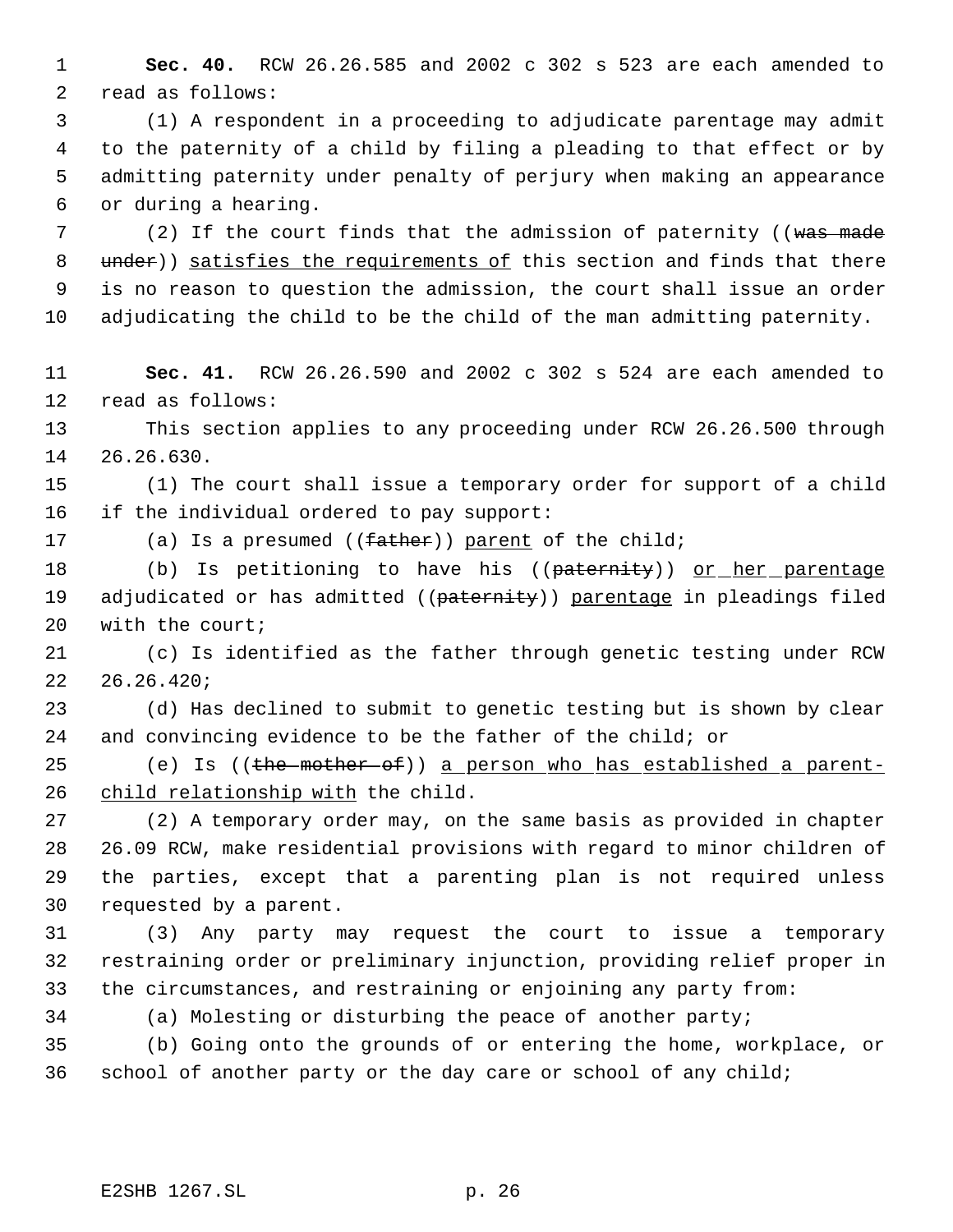**Sec. 40.** RCW 26.26.585 and 2002 c 302 s 523 are each amended to read as follows:

 (1) A respondent in a proceeding to adjudicate parentage may admit to the paternity of a child by filing a pleading to that effect or by admitting paternity under penalty of perjury when making an appearance or during a hearing.

7 (2) If the court finds that the admission of paternity ((was made 8 under)) satisfies the requirements of this section and finds that there is no reason to question the admission, the court shall issue an order adjudicating the child to be the child of the man admitting paternity.

 **Sec. 41.** RCW 26.26.590 and 2002 c 302 s 524 are each amended to read as follows:

 This section applies to any proceeding under RCW 26.26.500 through 26.26.630.

 (1) The court shall issue a temporary order for support of a child if the individual ordered to pay support:

17 (a) Is a presumed ((father)) parent of the child;

18 (b) Is petitioning to have his ((paternity)) or her parentage 19 adjudicated or has admitted ((paternity)) parentage in pleadings filed with the court;

 (c) Is identified as the father through genetic testing under RCW 26.26.420;

 (d) Has declined to submit to genetic testing but is shown by clear and convincing evidence to be the father of the child; or

25 (e) Is ((the mother of)) a person who has established a parent-26 child relationship with the child.

 (2) A temporary order may, on the same basis as provided in chapter 26.09 RCW, make residential provisions with regard to minor children of the parties, except that a parenting plan is not required unless requested by a parent.

 (3) Any party may request the court to issue a temporary restraining order or preliminary injunction, providing relief proper in the circumstances, and restraining or enjoining any party from:

(a) Molesting or disturbing the peace of another party;

 (b) Going onto the grounds of or entering the home, workplace, or school of another party or the day care or school of any child;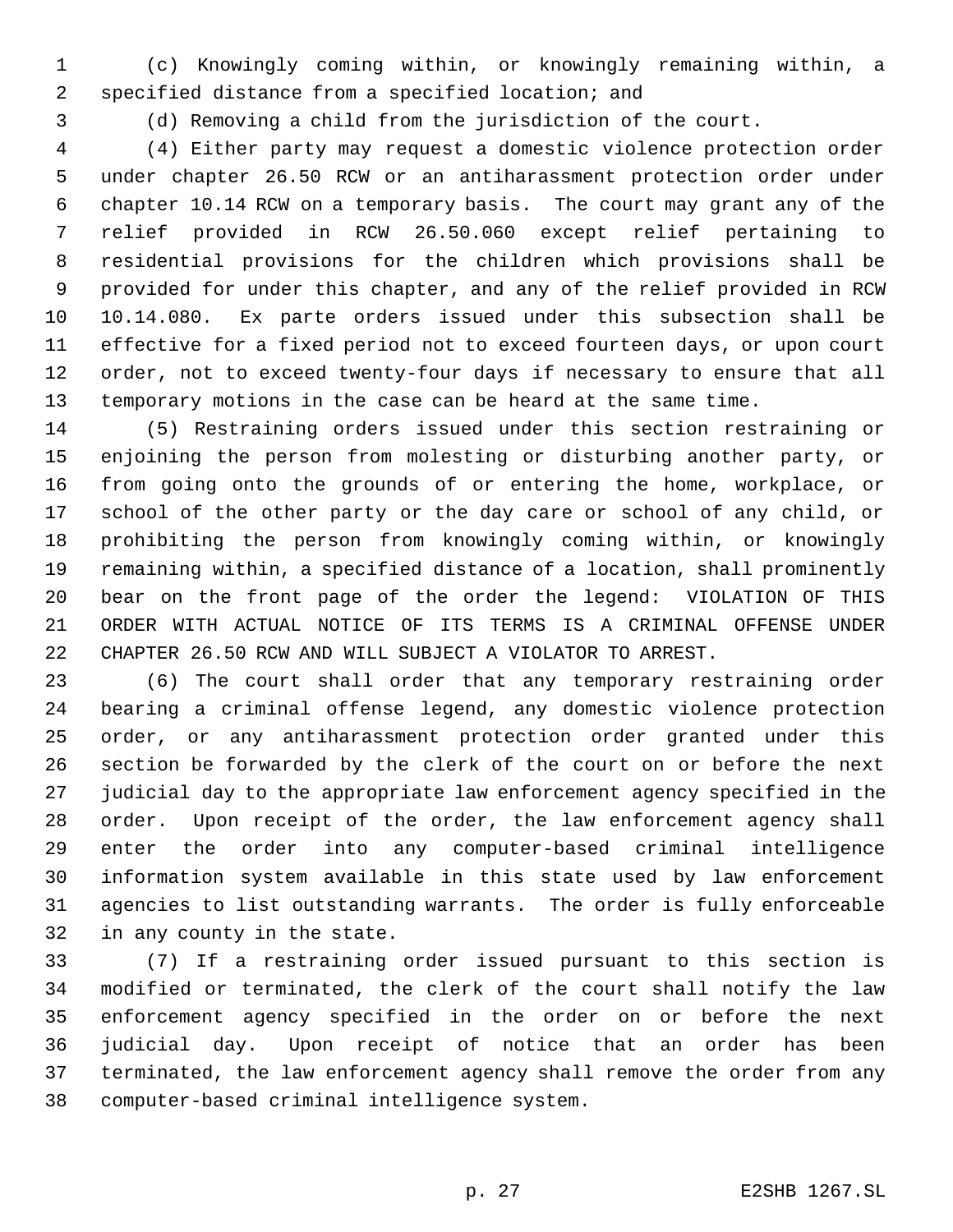(c) Knowingly coming within, or knowingly remaining within, a specified distance from a specified location; and

(d) Removing a child from the jurisdiction of the court.

 (4) Either party may request a domestic violence protection order under chapter 26.50 RCW or an antiharassment protection order under chapter 10.14 RCW on a temporary basis. The court may grant any of the relief provided in RCW 26.50.060 except relief pertaining to residential provisions for the children which provisions shall be provided for under this chapter, and any of the relief provided in RCW 10.14.080. Ex parte orders issued under this subsection shall be effective for a fixed period not to exceed fourteen days, or upon court order, not to exceed twenty-four days if necessary to ensure that all temporary motions in the case can be heard at the same time.

 (5) Restraining orders issued under this section restraining or enjoining the person from molesting or disturbing another party, or from going onto the grounds of or entering the home, workplace, or school of the other party or the day care or school of any child, or prohibiting the person from knowingly coming within, or knowingly remaining within, a specified distance of a location, shall prominently bear on the front page of the order the legend: VIOLATION OF THIS ORDER WITH ACTUAL NOTICE OF ITS TERMS IS A CRIMINAL OFFENSE UNDER CHAPTER 26.50 RCW AND WILL SUBJECT A VIOLATOR TO ARREST.

 (6) The court shall order that any temporary restraining order bearing a criminal offense legend, any domestic violence protection order, or any antiharassment protection order granted under this section be forwarded by the clerk of the court on or before the next judicial day to the appropriate law enforcement agency specified in the order. Upon receipt of the order, the law enforcement agency shall enter the order into any computer-based criminal intelligence information system available in this state used by law enforcement agencies to list outstanding warrants. The order is fully enforceable in any county in the state.

 (7) If a restraining order issued pursuant to this section is modified or terminated, the clerk of the court shall notify the law enforcement agency specified in the order on or before the next judicial day. Upon receipt of notice that an order has been terminated, the law enforcement agency shall remove the order from any computer-based criminal intelligence system.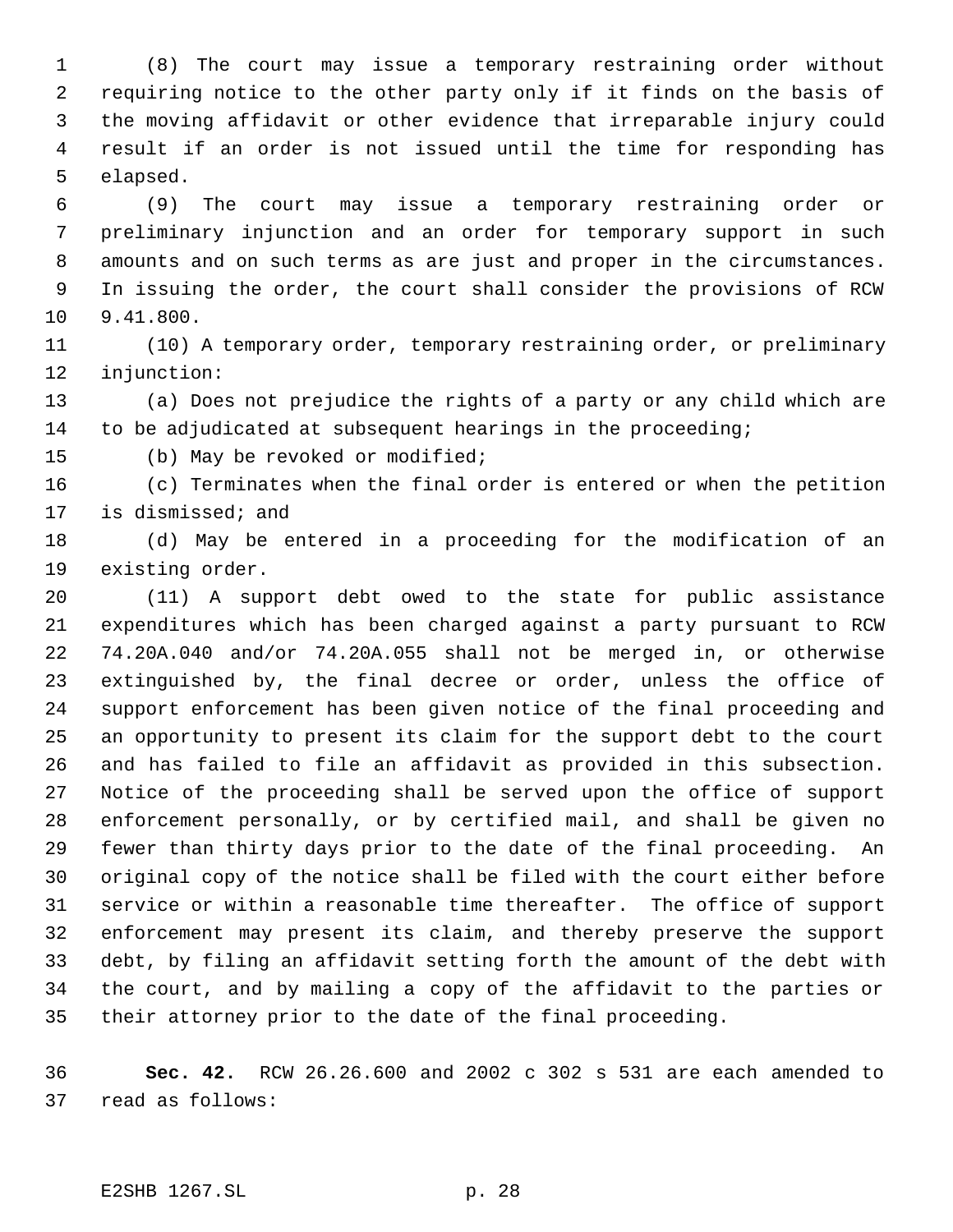(8) The court may issue a temporary restraining order without requiring notice to the other party only if it finds on the basis of the moving affidavit or other evidence that irreparable injury could result if an order is not issued until the time for responding has elapsed.

 (9) The court may issue a temporary restraining order or preliminary injunction and an order for temporary support in such amounts and on such terms as are just and proper in the circumstances. In issuing the order, the court shall consider the provisions of RCW 9.41.800.

 (10) A temporary order, temporary restraining order, or preliminary injunction:

 (a) Does not prejudice the rights of a party or any child which are to be adjudicated at subsequent hearings in the proceeding;

(b) May be revoked or modified;

 (c) Terminates when the final order is entered or when the petition is dismissed; and

 (d) May be entered in a proceeding for the modification of an existing order.

 (11) A support debt owed to the state for public assistance expenditures which has been charged against a party pursuant to RCW 74.20A.040 and/or 74.20A.055 shall not be merged in, or otherwise extinguished by, the final decree or order, unless the office of support enforcement has been given notice of the final proceeding and an opportunity to present its claim for the support debt to the court and has failed to file an affidavit as provided in this subsection. Notice of the proceeding shall be served upon the office of support enforcement personally, or by certified mail, and shall be given no fewer than thirty days prior to the date of the final proceeding. An original copy of the notice shall be filed with the court either before service or within a reasonable time thereafter. The office of support enforcement may present its claim, and thereby preserve the support debt, by filing an affidavit setting forth the amount of the debt with the court, and by mailing a copy of the affidavit to the parties or their attorney prior to the date of the final proceeding.

 **Sec. 42.** RCW 26.26.600 and 2002 c 302 s 531 are each amended to read as follows:

## E2SHB 1267.SL p. 28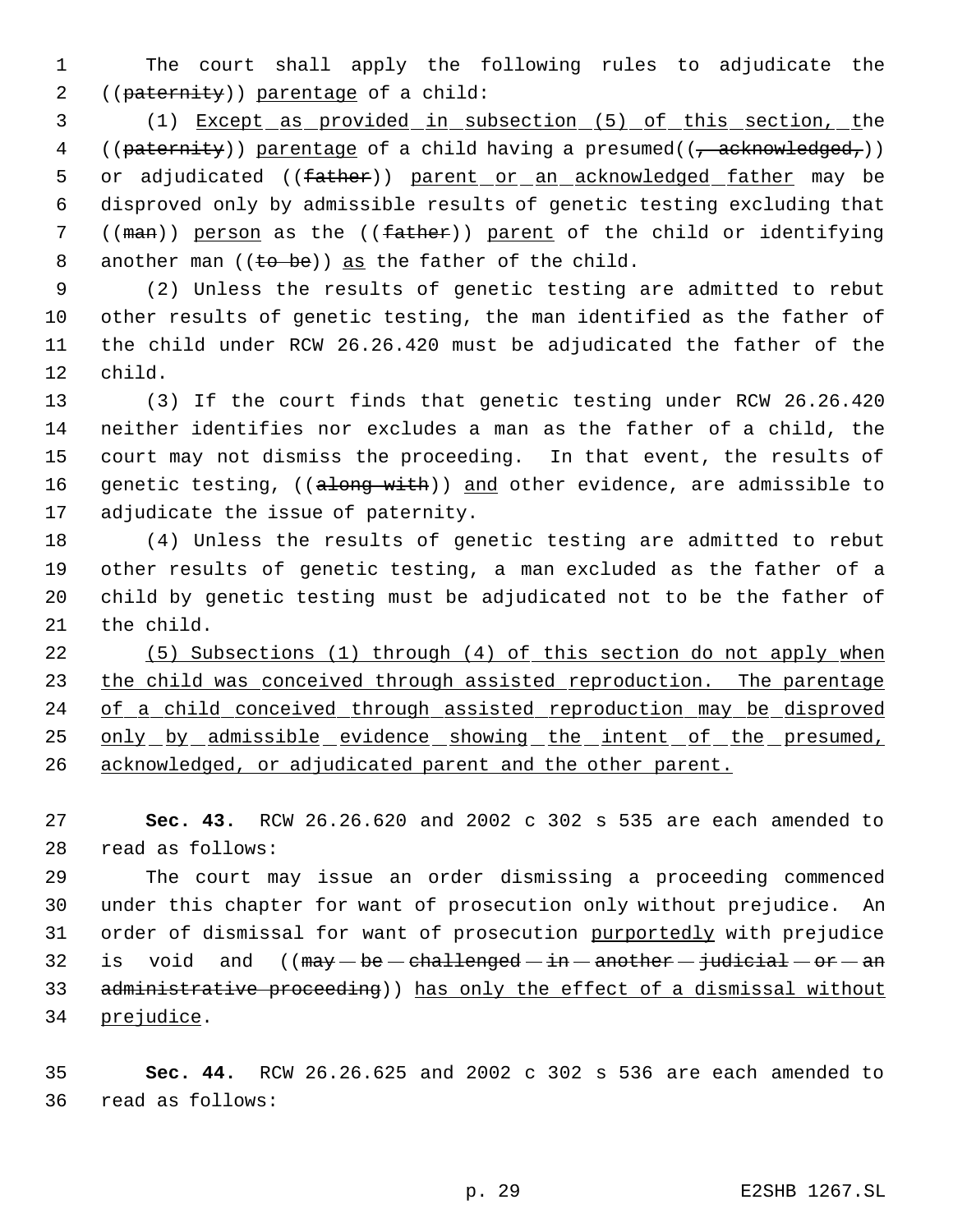The court shall apply the following rules to adjudicate the ((paternity)) parentage of a child:

 (1) Except as provided in subsection (5) of this section, the 4 (( $patternity$ ) parentage of a child having a presumed( $(\tau$  acknowledged,)) 5 or adjudicated ((father)) parent or an acknowledged father may be disproved only by admissible results of genetic testing excluding that 7 ((man)) person as the ((father)) parent of the child or identifying 8 another man  $((\text{to be}))$  as the father of the child.

 (2) Unless the results of genetic testing are admitted to rebut other results of genetic testing, the man identified as the father of the child under RCW 26.26.420 must be adjudicated the father of the child.

 (3) If the court finds that genetic testing under RCW 26.26.420 neither identifies nor excludes a man as the father of a child, the court may not dismiss the proceeding. In that event, the results of 16 genetic testing, ((along with)) and other evidence, are admissible to adjudicate the issue of paternity.

 (4) Unless the results of genetic testing are admitted to rebut other results of genetic testing, a man excluded as the father of a child by genetic testing must be adjudicated not to be the father of the child.

 (5) Subsections (1) through (4) of this section do not apply when 23 the child was conceived through assisted reproduction. The parentage 24 of a child conceived through assisted reproduction may be disproved 25 only by admissible evidence showing the intent of the presumed, acknowledged, or adjudicated parent and the other parent.

 **Sec. 43.** RCW 26.26.620 and 2002 c 302 s 535 are each amended to read as follows:

 The court may issue an order dismissing a proceeding commenced under this chapter for want of prosecution only without prejudice. An 31 order of dismissal for want of prosecution purportedly with prejudice 32 is void and  $((\text{may}-be-\text{challenged}-\text{in}-\text{another}-\text{judicial}-\text{or}-\text{an}$ 33 administrative proceeding)) has only the effect of a dismissal without prejudice.

 **Sec. 44.** RCW 26.26.625 and 2002 c 302 s 536 are each amended to read as follows: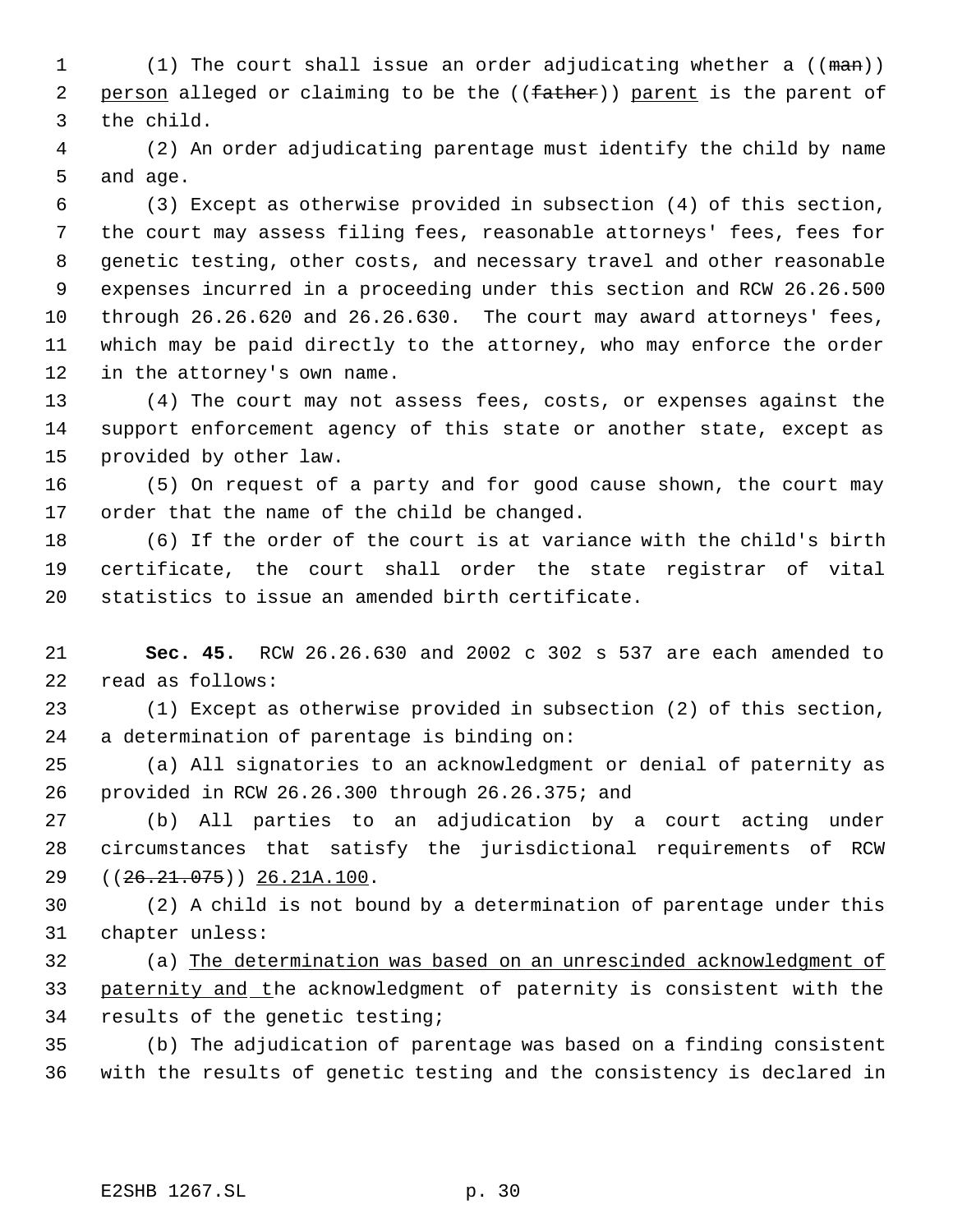1 (1) The court shall issue an order adjudicating whether a ((man)) 2 person alleged or claiming to be the ((father)) parent is the parent of the child.

 (2) An order adjudicating parentage must identify the child by name and age.

 (3) Except as otherwise provided in subsection (4) of this section, the court may assess filing fees, reasonable attorneys' fees, fees for genetic testing, other costs, and necessary travel and other reasonable expenses incurred in a proceeding under this section and RCW 26.26.500 through 26.26.620 and 26.26.630. The court may award attorneys' fees, which may be paid directly to the attorney, who may enforce the order in the attorney's own name.

 (4) The court may not assess fees, costs, or expenses against the support enforcement agency of this state or another state, except as provided by other law.

 (5) On request of a party and for good cause shown, the court may order that the name of the child be changed.

 (6) If the order of the court is at variance with the child's birth certificate, the court shall order the state registrar of vital statistics to issue an amended birth certificate.

 **Sec. 45.** RCW 26.26.630 and 2002 c 302 s 537 are each amended to read as follows:

 (1) Except as otherwise provided in subsection (2) of this section, a determination of parentage is binding on:

 (a) All signatories to an acknowledgment or denial of paternity as provided in RCW 26.26.300 through 26.26.375; and

 (b) All parties to an adjudication by a court acting under circumstances that satisfy the jurisdictional requirements of RCW ((26.21.075)) 26.21A.100.

 (2) A child is not bound by a determination of parentage under this chapter unless:

 (a) The determination was based on an unrescinded acknowledgment of 33 paternity and the acknowledgment of paternity is consistent with the results of the genetic testing;

 (b) The adjudication of parentage was based on a finding consistent with the results of genetic testing and the consistency is declared in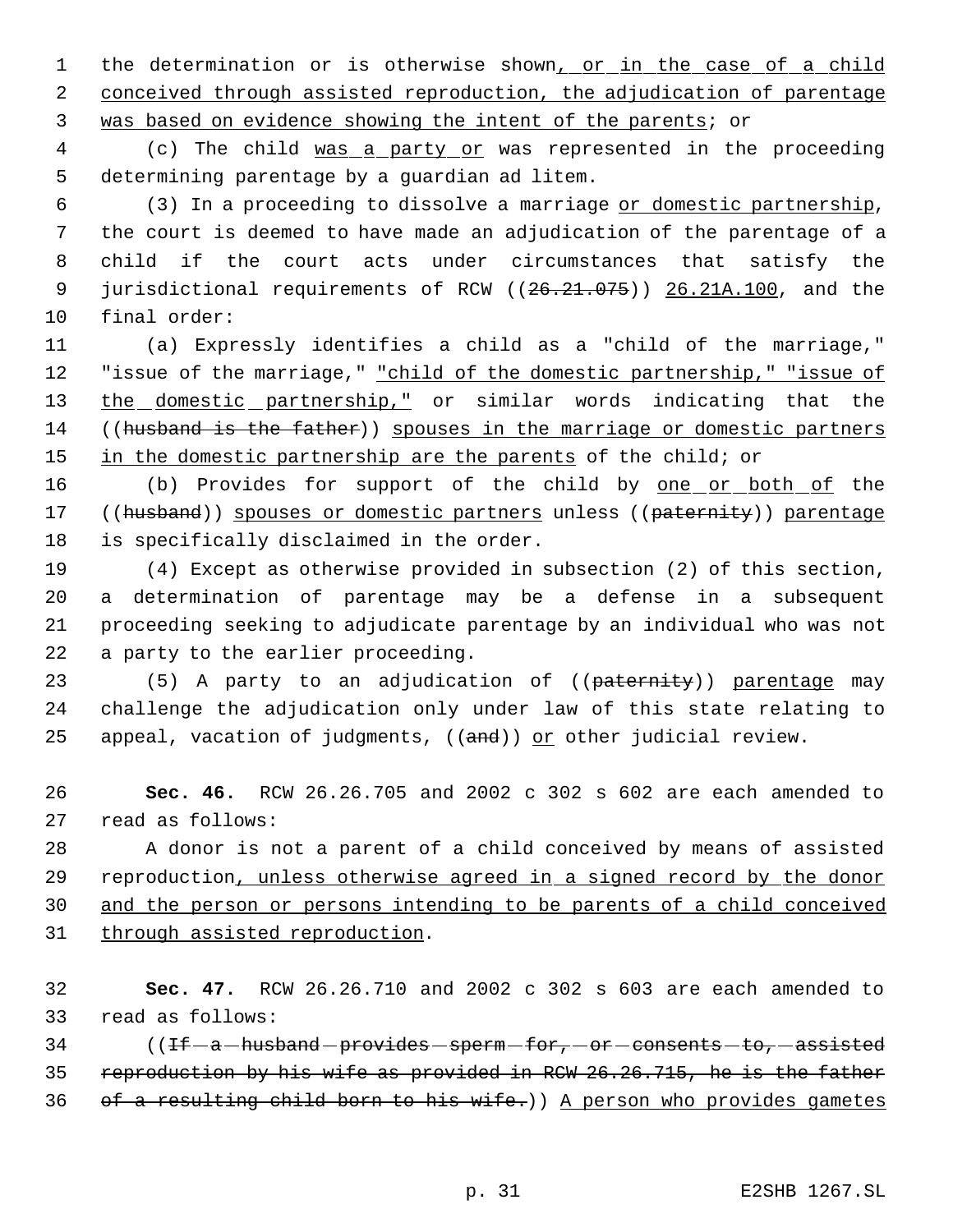1 the determination or is otherwise shown<sub>1</sub> or in the case of a child 2 conceived through assisted reproduction, the adjudication of parentage was based on evidence showing the intent of the parents; or

 (c) The child was a party or was represented in the proceeding determining parentage by a guardian ad litem.

 (3) In a proceeding to dissolve a marriage or domestic partnership, the court is deemed to have made an adjudication of the parentage of a child if the court acts under circumstances that satisfy the 9 jurisdictional requirements of RCW ((26.21.075)) 26.21A.100, and the final order:

 (a) Expressly identifies a child as a "child of the marriage," 12 "issue of the marriage," "child of the domestic partnership," "issue of 13 the domestic partnership," or similar words indicating that the 14 ((husband is the father)) spouses in the marriage or domestic partners 15 in the domestic partnership are the parents of the child; or

16 (b) Provides for support of the child by one or both of the 17 ((husband)) spouses or domestic partners unless ((paternity)) parentage is specifically disclaimed in the order.

 (4) Except as otherwise provided in subsection (2) of this section, a determination of parentage may be a defense in a subsequent proceeding seeking to adjudicate parentage by an individual who was not a party to the earlier proceeding.

23 (5) A party to an adjudication of ((paternity)) parentage may challenge the adjudication only under law of this state relating to 25 appeal, vacation of judgments,  $((and))$  or other judicial review.

 **Sec. 46.** RCW 26.26.705 and 2002 c 302 s 602 are each amended to read as follows:

 A donor is not a parent of a child conceived by means of assisted reproduction, unless otherwise agreed in a signed record by the donor and the person or persons intending to be parents of a child conceived through assisted reproduction.

 **Sec. 47.** RCW 26.26.710 and 2002 c 302 s 603 are each amended to read as follows:

 ( $IF-a-hushand-provides-sperm-for,-or-constants-to,-assisted$  reproduction by his wife as provided in RCW 26.26.715, he is the father 36 of a resulting child born to his wife.)) A person who provides gametes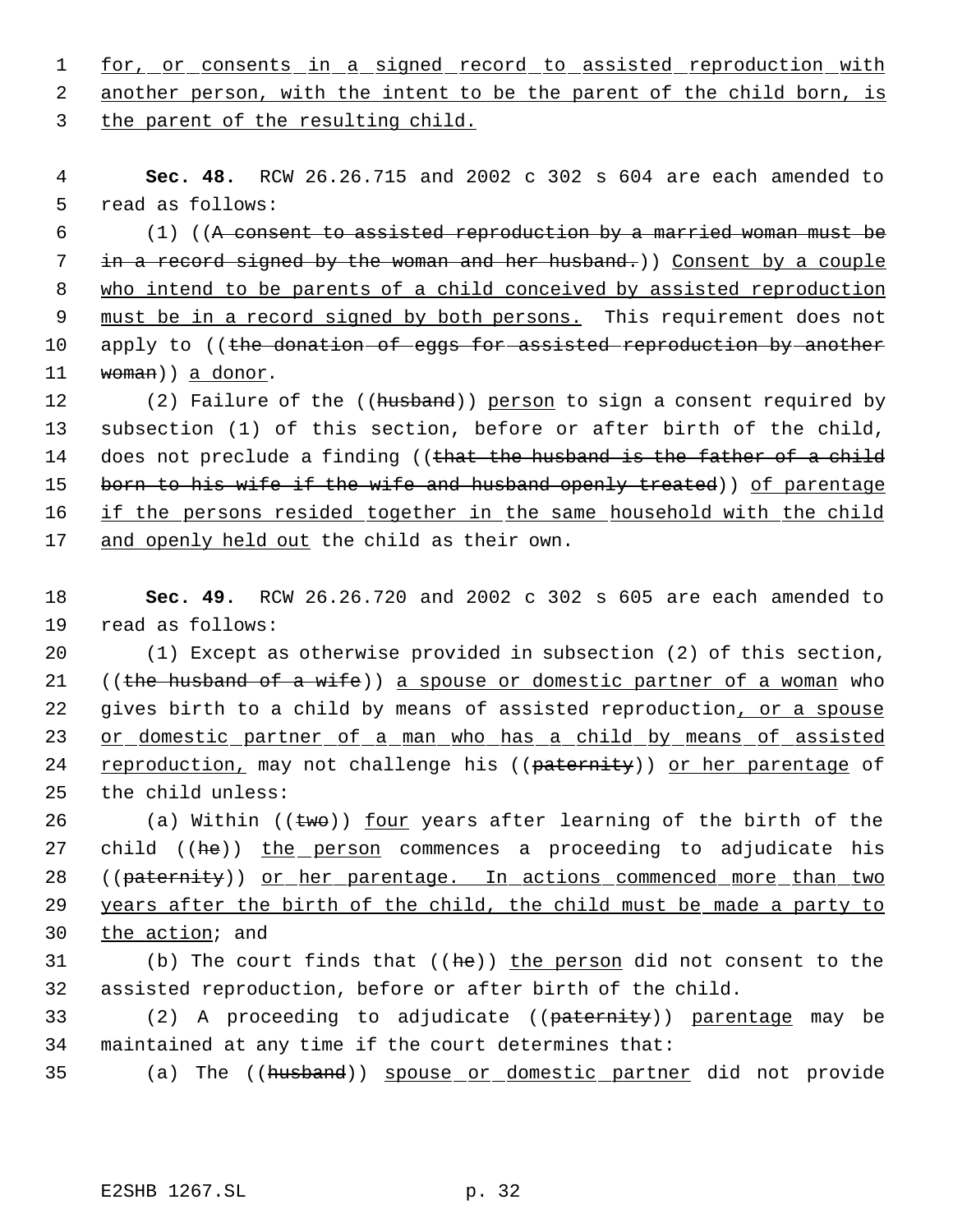1 for, or consents in a signed record to assisted reproduction with 2 another person, with the intent to be the parent of the child born, is

3 the parent of the resulting child.

 4 **Sec. 48.** RCW 26.26.715 and 2002 c 302 s 604 are each amended to 5 read as follows:

 6 (1) ((A consent to assisted reproduction by a married woman must be 7 in a record signed by the woman and her husband.)) Consent by a couple 8 who intend to be parents of a child conceived by assisted reproduction 9 must be in a record signed by both persons. This requirement does not 10 apply to ((the donation of eggs for assisted reproduction by another 11 woman) a donor.

12 (2) Failure of the ((husband)) person to sign a consent required by 13 subsection (1) of this section, before or after birth of the child, 14 does not preclude a finding ((that the husband is the father of a child 15 born to his wife if the wife and husband openly treated)) of parentage 16 if the persons resided together in the same household with the child 17 and openly held out the child as their own.

18 **Sec. 49.** RCW 26.26.720 and 2002 c 302 s 605 are each amended to 19 read as follows:

20 (1) Except as otherwise provided in subsection (2) of this section, 21 ((the husband of a wife)) a spouse or domestic partner of a woman who 22 gives birth to a child by means of assisted reproduction, or a spouse 23 or domestic partner of a man who has a child by means of assisted 24 reproduction, may not challenge his ((paternity)) or her parentage of 25 the child unless:

26 (a) Within  $((two))$  <u>four</u> years after learning of the birth of the 27 child ((he)) the person commences a proceeding to adjudicate his 28 ((paternity)) or her parentage. In actions commenced more than two 29 years after the birth of the child, the child must be made a party to 30 the action; and

31 (b) The court finds that ((he)) the person did not consent to the 32 assisted reproduction, before or after birth of the child.

33 (2) A proceeding to adjudicate ((paternity)) parentage may be 34 maintained at any time if the court determines that:

35 (a) The ((husband)) spouse or domestic partner did not provide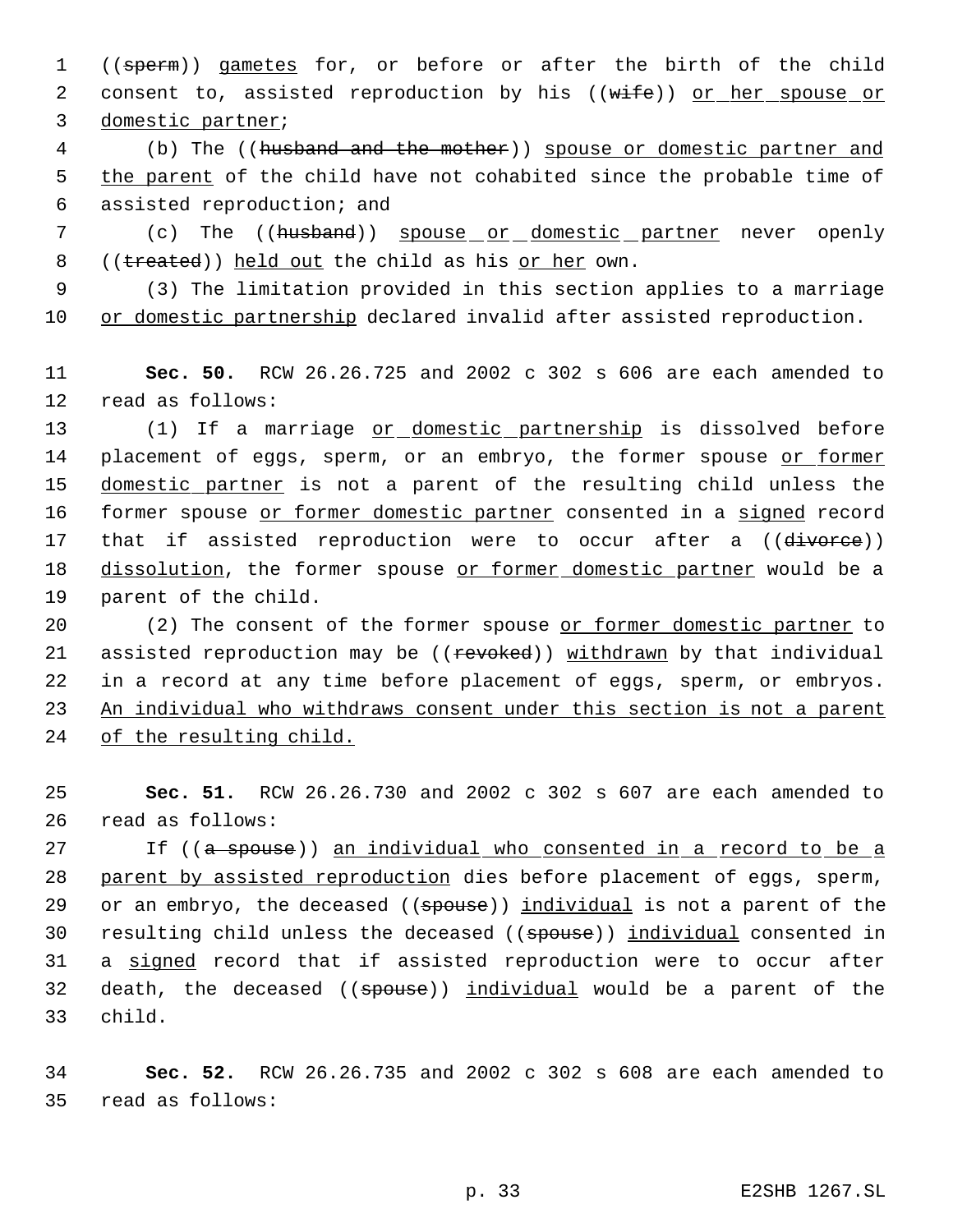1 ((sperm)) gametes for, or before or after the birth of the child 2 consent to, assisted reproduction by his ((wife)) or her spouse or 3 domestic partner;

 4 (b) The ((husband and the mother)) spouse or domestic partner and 5 the parent of the child have not cohabited since the probable time of 6 assisted reproduction; and

7 (c) The ((husband)) spouse or domestic partner never openly 8 ((treated)) held out the child as his or her own.

 9 (3) The limitation provided in this section applies to a marriage 10 or domestic partnership declared invalid after assisted reproduction.

11 **Sec. 50.** RCW 26.26.725 and 2002 c 302 s 606 are each amended to 12 read as follows:

13 (1) If a marriage or domestic partnership is dissolved before 14 placement of eggs, sperm, or an embryo, the former spouse or former 15 domestic partner is not a parent of the resulting child unless the 16 former spouse or former domestic partner consented in a signed record 17 that if assisted reproduction were to occur after a ((divorce)) 18 dissolution, the former spouse or former domestic partner would be a 19 parent of the child.

 (2) The consent of the former spouse or former domestic partner to 21 assisted reproduction may be ((revoked)) withdrawn by that individual in a record at any time before placement of eggs, sperm, or embryos. An individual who withdraws consent under this section is not a parent of the resulting child.

25 **Sec. 51.** RCW 26.26.730 and 2002 c 302 s 607 are each amended to 26 read as follows:

27 1f ((a spouse)) an individual who consented in a record to be a 28 parent by assisted reproduction dies before placement of eggs, sperm, 29 or an embryo, the deceased ((spouse)) individual is not a parent of the 30 resulting child unless the deceased ((spouse)) individual consented in 31 a signed record that if assisted reproduction were to occur after 32 death, the deceased ((spouse)) individual would be a parent of the 33 child.

34 **Sec. 52.** RCW 26.26.735 and 2002 c 302 s 608 are each amended to 35 read as follows: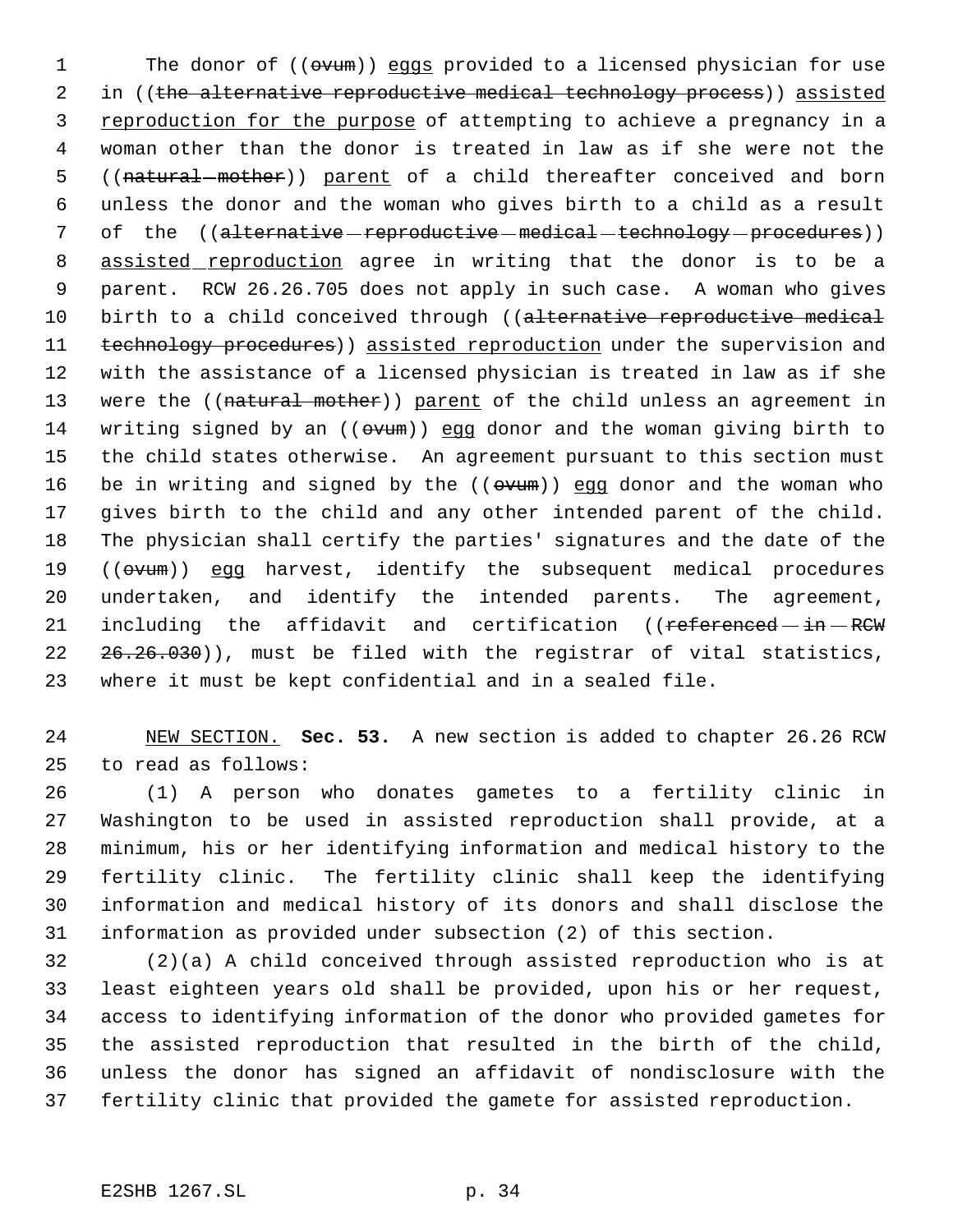1 The donor of (( $\Theta$ vum)) eggs provided to a licensed physician for use 2 in ((the alternative reproductive medical technology process)) assisted 3 reproduction for the purpose of attempting to achieve a pregnancy in a woman other than the donor is treated in law as if she were not the 5 ((natural mother)) parent of a child thereafter conceived and born unless the donor and the woman who gives birth to a child as a result 7 of the ((alternative-reproductive-medical-technology-procedures)) 8 assisted reproduction agree in writing that the donor is to be a parent. RCW 26.26.705 does not apply in such case. A woman who gives 10 birth to a child conceived through ((alternative reproductive medical 11 technology procedures)) assisted reproduction under the supervision and with the assistance of a licensed physician is treated in law as if she 13 were the ((natural mother)) parent of the child unless an agreement in 14 writing signed by an (( $\sigma$ vum)) egg donor and the woman giving birth to the child states otherwise. An agreement pursuant to this section must 16 be in writing and signed by the  $((ovum))$  egg donor and the woman who gives birth to the child and any other intended parent of the child. The physician shall certify the parties' signatures and the date of the 19 ((ovum)) egg harvest, identify the subsequent medical procedures undertaken, and identify the intended parents. The agreement, 21 including the affidavit and certification ((referenced-in-RCW) 22 26.26.030)), must be filed with the registrar of vital statistics, where it must be kept confidential and in a sealed file.

 NEW SECTION. **Sec. 53.** A new section is added to chapter 26.26 RCW to read as follows:

 (1) A person who donates gametes to a fertility clinic in Washington to be used in assisted reproduction shall provide, at a minimum, his or her identifying information and medical history to the fertility clinic. The fertility clinic shall keep the identifying information and medical history of its donors and shall disclose the information as provided under subsection (2) of this section.

 (2)(a) A child conceived through assisted reproduction who is at least eighteen years old shall be provided, upon his or her request, access to identifying information of the donor who provided gametes for the assisted reproduction that resulted in the birth of the child, unless the donor has signed an affidavit of nondisclosure with the fertility clinic that provided the gamete for assisted reproduction.